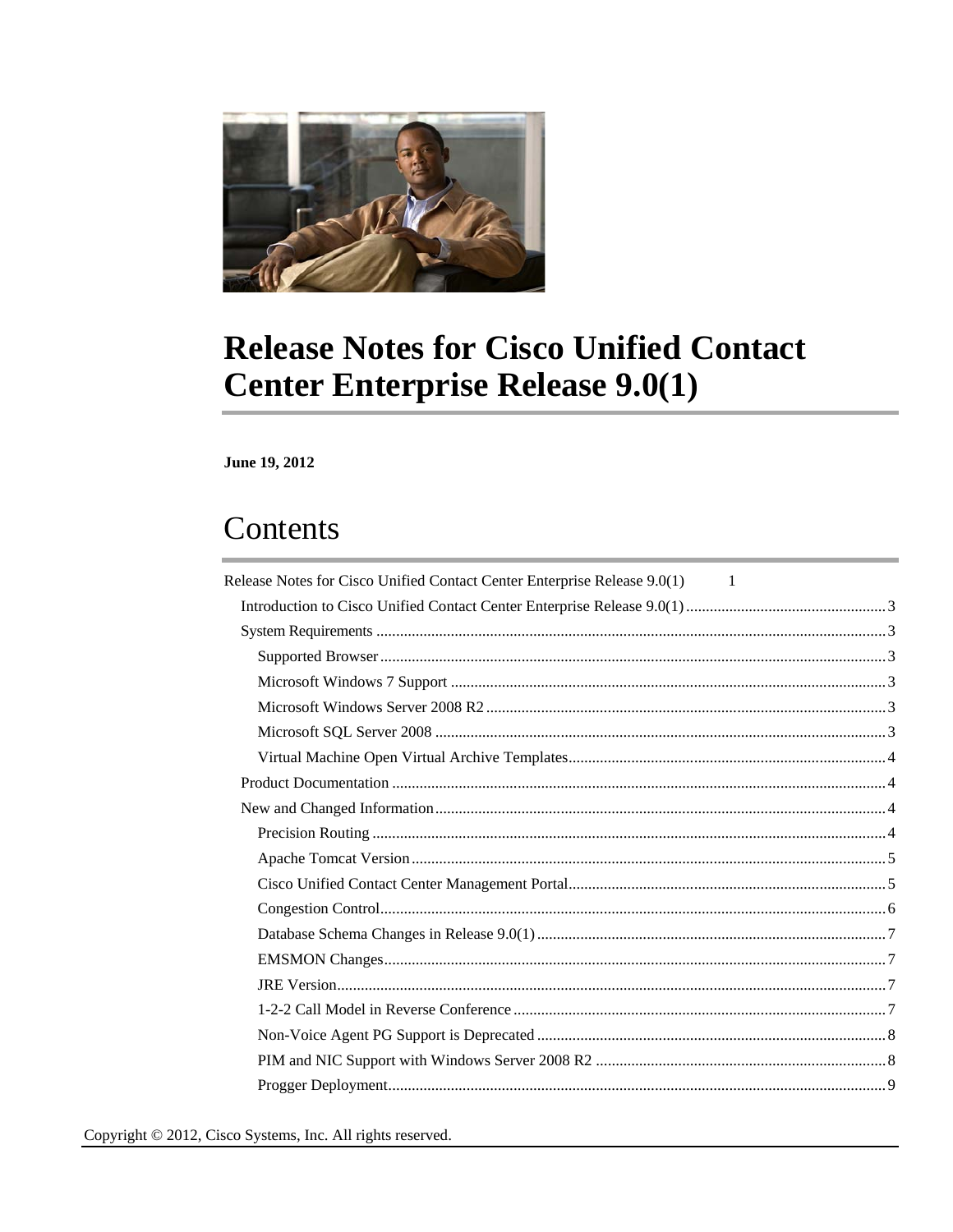

# <span id="page-0-0"></span>**Release Notes for Cisco Unified Contact Center Enterprise Release 9.0(1)**

June 19, 2012

# Contents

| Release Notes for Cisco Unified Contact Center Enterprise Release 9.0(1) 1 |  |
|----------------------------------------------------------------------------|--|
|                                                                            |  |
|                                                                            |  |
|                                                                            |  |
|                                                                            |  |
|                                                                            |  |
|                                                                            |  |
|                                                                            |  |
|                                                                            |  |
|                                                                            |  |
|                                                                            |  |
|                                                                            |  |
|                                                                            |  |
|                                                                            |  |
|                                                                            |  |
|                                                                            |  |
|                                                                            |  |
|                                                                            |  |
|                                                                            |  |
|                                                                            |  |
|                                                                            |  |
|                                                                            |  |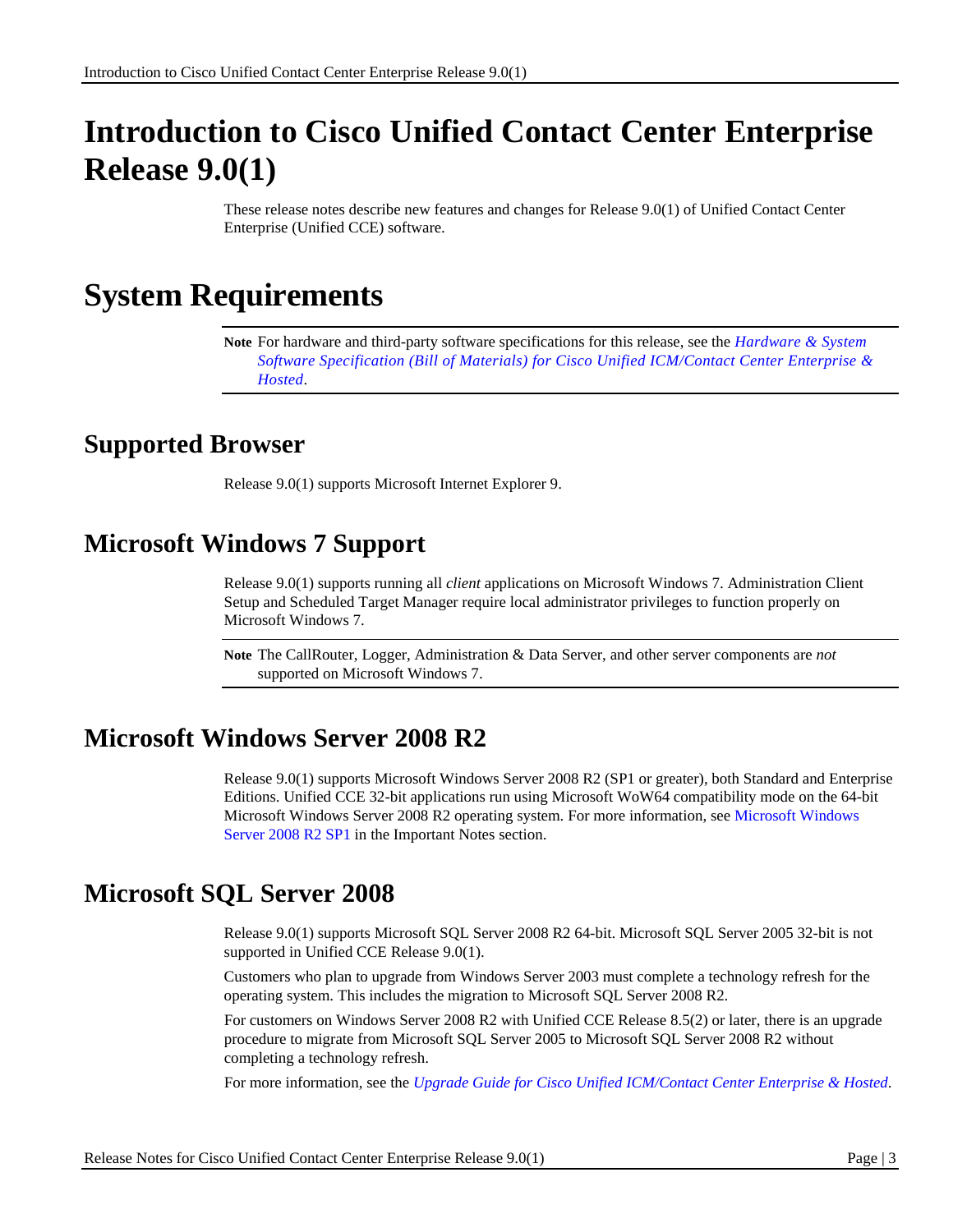# <span id="page-2-0"></span>**Introduction to Cisco Unified Contact Center Enterprise Release 9.0(1)**

These release notes describe new features and changes for Release 9.0(1) of Unified Contact Center Enterprise (Unified CCE) software.

# <span id="page-2-1"></span>**System Requirements**

**Note** For hardware and third-party software specifications for this release, see the *[Hardware & System](http://www.cisco.com/en/US/products/sw/custcosw/ps1844/prod_technical_reference_list.html)  Software Specification (Bill of Materials) for Cisco Unified ICM/Contact Center Enterprise & Hosted*.

### <span id="page-2-2"></span>**Supported Browser**

Release 9.0(1) supports Microsoft Internet Explorer 9.

# <span id="page-2-3"></span>**Microsoft Windows 7 Support**

Release 9.0(1) supports running all *client* applications on Microsoft Windows 7. Administration Client Setup and Scheduled Target Manager require local administrator privileges to function properly on Microsoft Windows 7.

**Note** The CallRouter, Logger, Administration & Data Server, and other server components are *not*  supported on Microsoft Windows 7.

# <span id="page-2-4"></span>**Microsoft Windows Server 2008 R2**

Release 9.0(1) supports Microsoft Windows Server 2008 R2 (SP1 or greater), both Standard and Enterprise Editions. Unified CCE 32-bit applications run using Microsoft WoW64 compatibility mode on the 64-bit Microsoft Windows Server 2008 R2 operating system. For more information, see [Microsoft Windows](#page-12-2)  [Server 2008 R2 SP1](#page-12-2) in the Important Notes section.

# <span id="page-2-5"></span>**Microsoft SQL Server 2008**

Release 9.0(1) supports Microsoft SQL Server 2008 R2 64-bit. Microsoft SQL Server 2005 32-bit is not supported in Unified CCE Release 9.0(1).

Customers who plan to upgrade from Windows Server 2003 must complete a technology refresh for the operating system. This includes the migration to Microsoft SQL Server 2008 R2.

For customers on Windows Server 2008 R2 with Unified CCE Release 8.5(2) or later, there is an upgrade procedure to migrate from Microsoft SQL Server 2005 to Microsoft SQL Server 2008 R2 without completing a technology refresh.

For more information, see the *[Upgrade Guide for Cisco Unified ICM/Contact Center Enterprise & Hosted](http://www.cisco.com/en/US/products/sw/custcosw/ps1844/prod_installation_guides_list.html)*.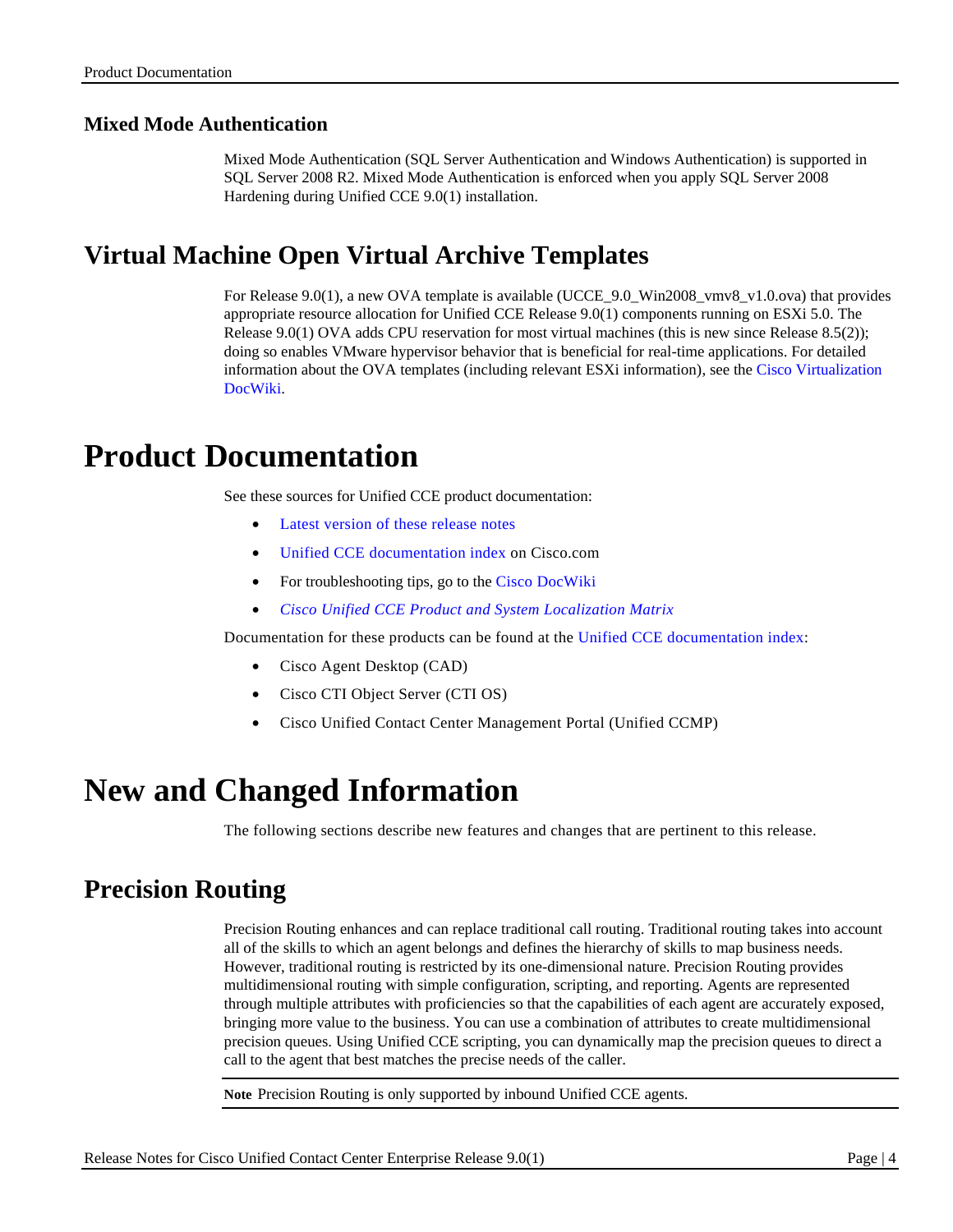### **Mixed Mode Authentication**

Mixed Mode Authentication (SQL Server Authentication and Windows Authentication) is supported in SQL Server 2008 R2. Mixed Mode Authentication is enforced when you apply SQL Server 2008 Hardening during Unified CCE 9.0(1) installation.

# <span id="page-3-0"></span>**Virtual Machine Open Virtual Archive Templates**

For Release 9.0(1), a new OVA template is available (UCCE\_9.0\_Win2008\_vmv8\_v1.0.ova) that provides appropriate resource allocation for Unified CCE Release 9.0(1) components running on ESXi 5.0. The Release 9.0(1) OVA adds CPU reservation for most virtual machines (this is new since Release 8.5(2)); doing so enables VMware hypervisor behavior that is beneficial for real-time applications. For detailed information about the OVA templates (including relevant ESXi information), see the [Cisco Virtualization](http://docwiki.cisco.com/wiki/Unified_Communications_Virtualization_Downloads_(including_OVA/OVF_Templates)#Unified_Contact_Center_Enterprise)  [DocWiki.](http://docwiki.cisco.com/wiki/Unified_Communications_Virtualization_Downloads_(including_OVA/OVF_Templates)#Unified_Contact_Center_Enterprise)

# <span id="page-3-1"></span>**Product Documentation**

See these sources for Unified CCE product documentation:

- [Latest version of these release notes](http://www.cisco.com/en/US/products/sw/custcosw/ps1844/prod_release_notes_list.html)
- [Unified CCE documentation index](http://www.cisco.com/en/US/products/sw/custcosw/ps1844/tsd_products_support_series_home.html) on Cisco.com
- For troubleshooting tips, go to th[e Cisco DocWiki](http://docwiki.cisco.com/wiki/Category:Troubleshooting)
- *[Cisco Unified CCE Product and System Localization Matrix](http://www.cisco.com/en/US/docs/voice_ip_comm/cust_contact/contact_center/icm_enterprise/localization_matrix/guide/G11nMap.xls)*

Documentation for these products can be found at the [Unified CCE documentation index:](http://www.cisco.com/en/US/products/sw/custcosw/ps1844/tsd_products_support_series_home.html)

- Cisco Agent Desktop (CAD)
- Cisco CTI Object Server (CTI OS)
- Cisco Unified Contact Center Management Portal (Unified CCMP)

# <span id="page-3-2"></span>**New and Changed Information**

The following sections describe new features and changes that are pertinent to this release.

# <span id="page-3-3"></span>**Precision Routing**

Precision Routing enhances and can replace traditional call routing. Traditional routing takes into account all of the skills to which an agent belongs and defines the hierarchy of skills to map business needs. However, traditional routing is restricted by its one-dimensional nature. Precision Routing provides multidimensional routing with simple configuration, scripting, and reporting. Agents are represented through multiple attributes with proficiencies so that the capabilities of each agent are accurately exposed, bringing more value to the business. You can use a combination of attributes to create multidimensional precision queues. Using Unified CCE scripting, you can dynamically map the precision queues to direct a call to the agent that best matches the precise needs of the caller.

**Note** Precision Routing is only supported by inbound Unified CCE agents.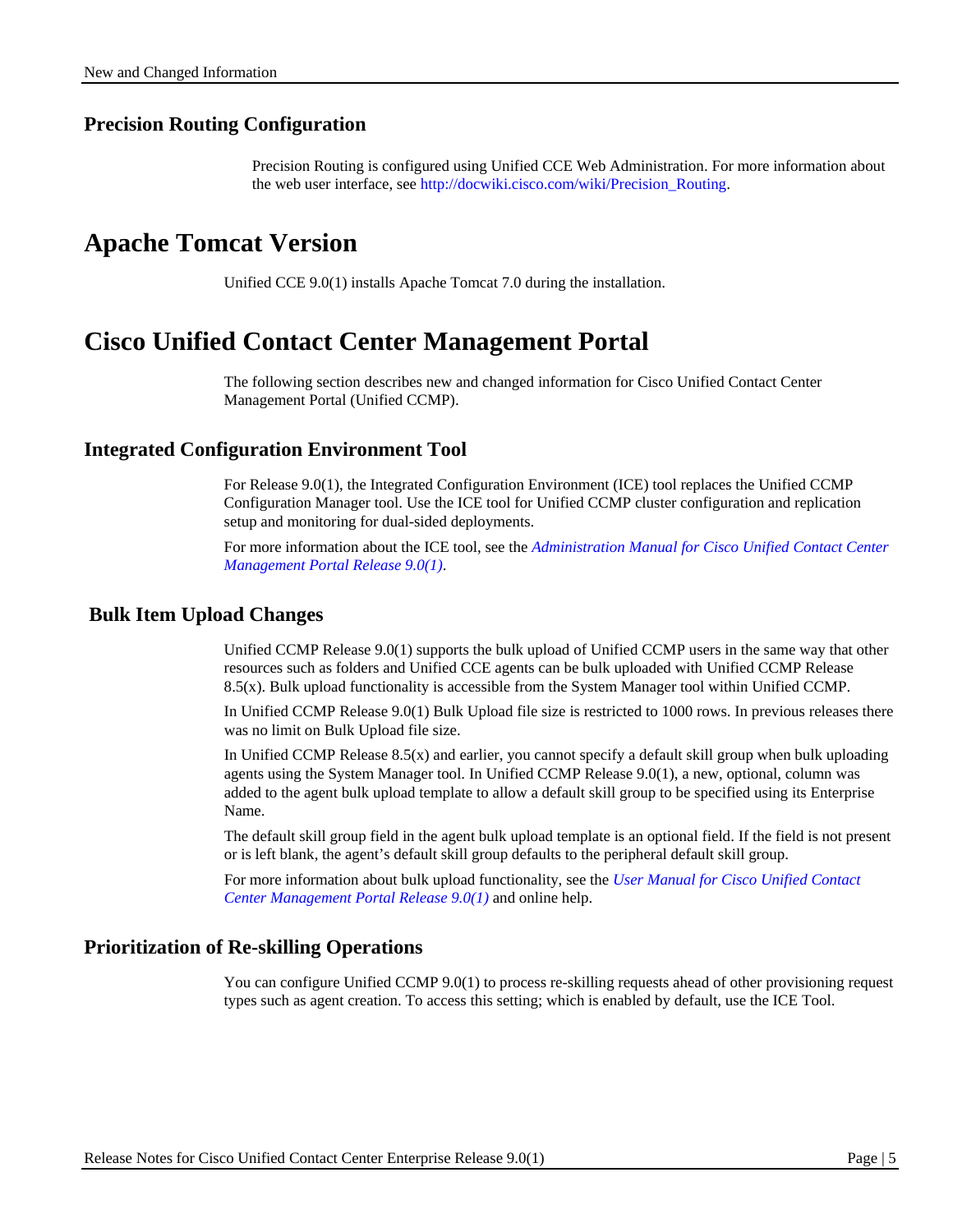#### **Precision Routing Configuration**

Precision Routing is configured using Unified CCE Web Administration. For more information about the web user interface, see [http://docwiki.cisco.com/wiki/Precision\\_Routing.](http://docwiki.cisco.com/wiki/Precision_Routing)

### <span id="page-4-0"></span>**Apache Tomcat Version**

Unified CCE 9.0(1) installs Apache Tomcat 7.0 during the installation.

### <span id="page-4-1"></span>**Cisco Unified Contact Center Management Portal**

The following section describes new and changed information for Cisco Unified Contact Center Management Portal (Unified CCMP).

#### **Integrated Configuration Environment Tool**

For Release 9.0(1), the Integrated Configuration Environment (ICE) tool replaces the Unified CCMP Configuration Manager tool. Use the ICE tool for Unified CCMP cluster configuration and replication setup and monitoring for dual-sided deployments.

For more information about the ICE tool, see the *[Administration Manual for Cisco Unified Contact Center](http://www.cisco.com/en/US/products/ps7076/prod_maintenance_guides_list.html)  [Management Portal](http://www.cisco.com/en/US/products/ps7076/prod_maintenance_guides_list.html) Release 9.0(1)*.

#### **Bulk Item Upload Changes**

Unified CCMP Release 9.0(1) supports the bulk upload of Unified CCMP users in the same way that other resources such as folders and Unified CCE agents can be bulk uploaded with Unified CCMP Release 8.5(x). Bulk upload functionality is accessible from the System Manager tool within Unified CCMP.

In Unified CCMP Release 9.0(1) Bulk Upload file size is restricted to 1000 rows. In previous releases there was no limit on Bulk Upload file size.

In Unified CCMP Release 8.5(x) and earlier, you cannot specify a default skill group when bulk uploading agents using the System Manager tool. In Unified CCMP Release 9.0(1), a new, optional, column was added to the agent bulk upload template to allow a default skill group to be specified using its Enterprise Name.

The default skill group field in the agent bulk upload template is an optional field. If the field is not present or is left blank, the agent's default skill group defaults to the peripheral default skill group.

For more information about bulk upload functionality, see the *[User Manual for Cisco Unified Contact](http://www.cisco.com/en/US/products/ps7076/products_user_guide_list.html)  [Center Management Portal](http://www.cisco.com/en/US/products/ps7076/products_user_guide_list.html) Release 9.0(1)* and online help.

#### **Prioritization of Re-skilling Operations**

You can configure Unified CCMP 9.0(1) to process re-skilling requests ahead of other provisioning request types such as agent creation. To access this setting; which is enabled by default, use the ICE Tool.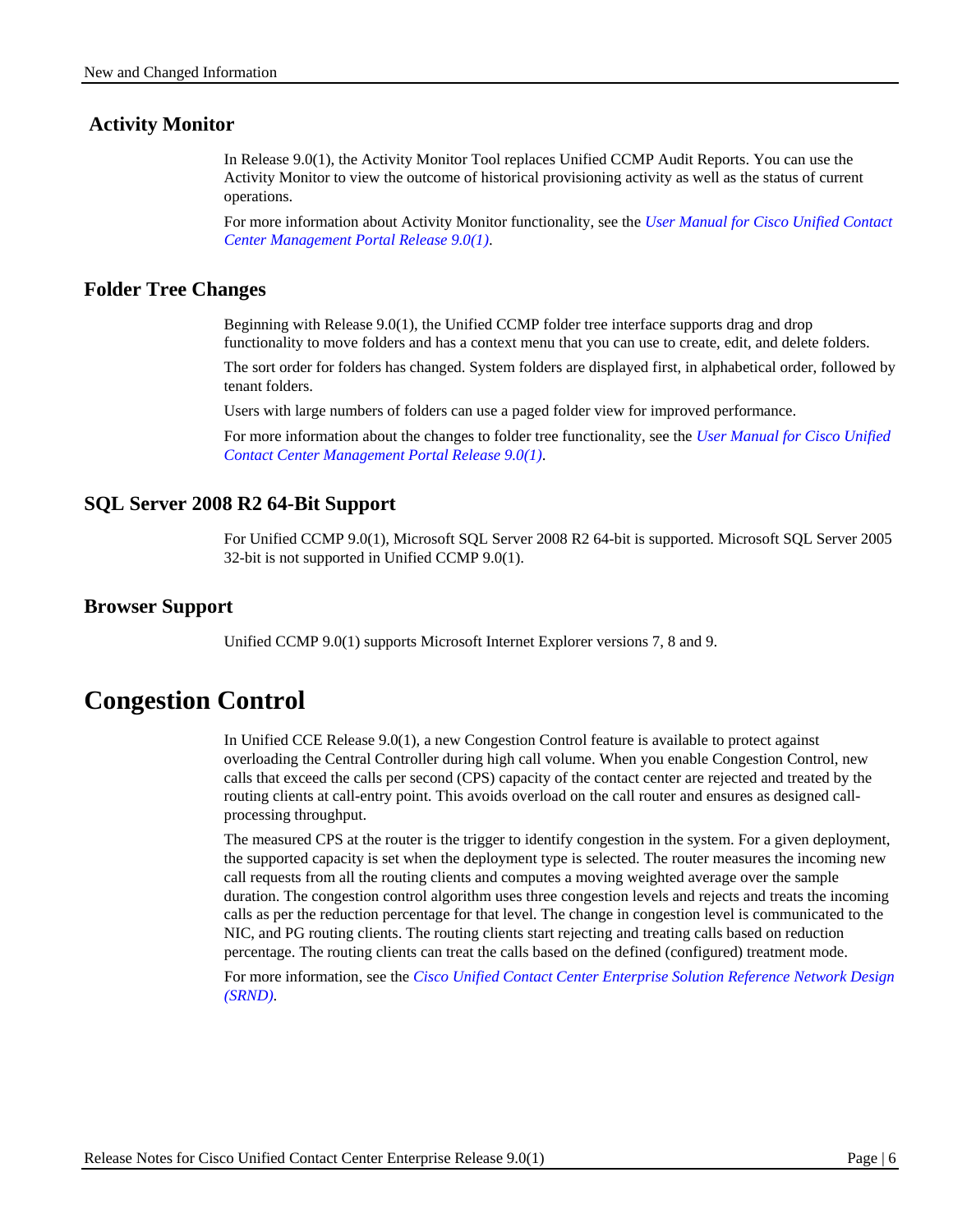#### **Activity Monitor**

In Release 9.0(1), the Activity Monitor Tool replaces Unified CCMP Audit Reports. You can use the Activity Monitor to view the outcome of historical provisioning activity as well as the status of current operations.

For more information about Activity Monitor functionality, see the *[User Manual for Cisco Unified Contact](http://www.cisco.com/en/US/products/ps7076/products_user_guide_list.html)  [Center Management Portal Release 9.0\(1\)](http://www.cisco.com/en/US/products/ps7076/products_user_guide_list.html)*.

#### **Folder Tree Changes**

Beginning with Release 9.0(1), the Unified CCMP folder tree interface supports drag and drop functionality to move folders and has a context menu that you can use to create, edit, and delete folders.

The sort order for folders has changed. System folders are displayed first, in alphabetical order, followed by tenant folders.

Users with large numbers of folders can use a paged folder view for improved performance.

For more information about the changes to folder tree functionality, see the *[User Manual for Cisco Unified](http://www.cisco.com/en/US/products/ps7076/products_user_guide_list.html)  [Contact Center Management Portal Release 9.0\(1\)](http://www.cisco.com/en/US/products/ps7076/products_user_guide_list.html)*.

#### **SQL Server 2008 R2 64-Bit Support**

For Unified CCMP 9.0(1), Microsoft SQL Server 2008 R2 64-bit is supported. Microsoft SQL Server 2005 32-bit is not supported in Unified CCMP 9.0(1).

#### **Browser Support**

Unified CCMP 9.0(1) supports Microsoft Internet Explorer versions 7, 8 and 9.

### <span id="page-5-0"></span>**Congestion Control**

In Unified CCE Release 9.0(1), a new Congestion Control feature is available to protect against overloading the Central Controller during high call volume. When you enable Congestion Control, new calls that exceed the calls per second (CPS) capacity of the contact center are rejected and treated by the routing clients at call-entry point. This avoids overload on the call router and ensures as designed callprocessing throughput.

The measured CPS at the router is the trigger to identify congestion in the system. For a given deployment, the supported capacity is set when the deployment type is selected. The router measures the incoming new call requests from all the routing clients and computes a moving weighted average over the sample duration. The congestion control algorithm uses three congestion levels and rejects and treats the incoming calls as per the reduction percentage for that level. The change in congestion level is communicated to the NIC, and PG routing clients. The routing clients start rejecting and treating calls based on reduction percentage. The routing clients can treat the calls based on the defined (configured) treatment mode.

For more information, see the *[Cisco Unified Contact Center Enterprise Solution Reference Network Design](http://www.cisco.com/en/US/products/sw/custcosw/ps1844/products_implementation_design_guides_list.html)  [\(SRND\)](http://www.cisco.com/en/US/products/sw/custcosw/ps1844/products_implementation_design_guides_list.html)*.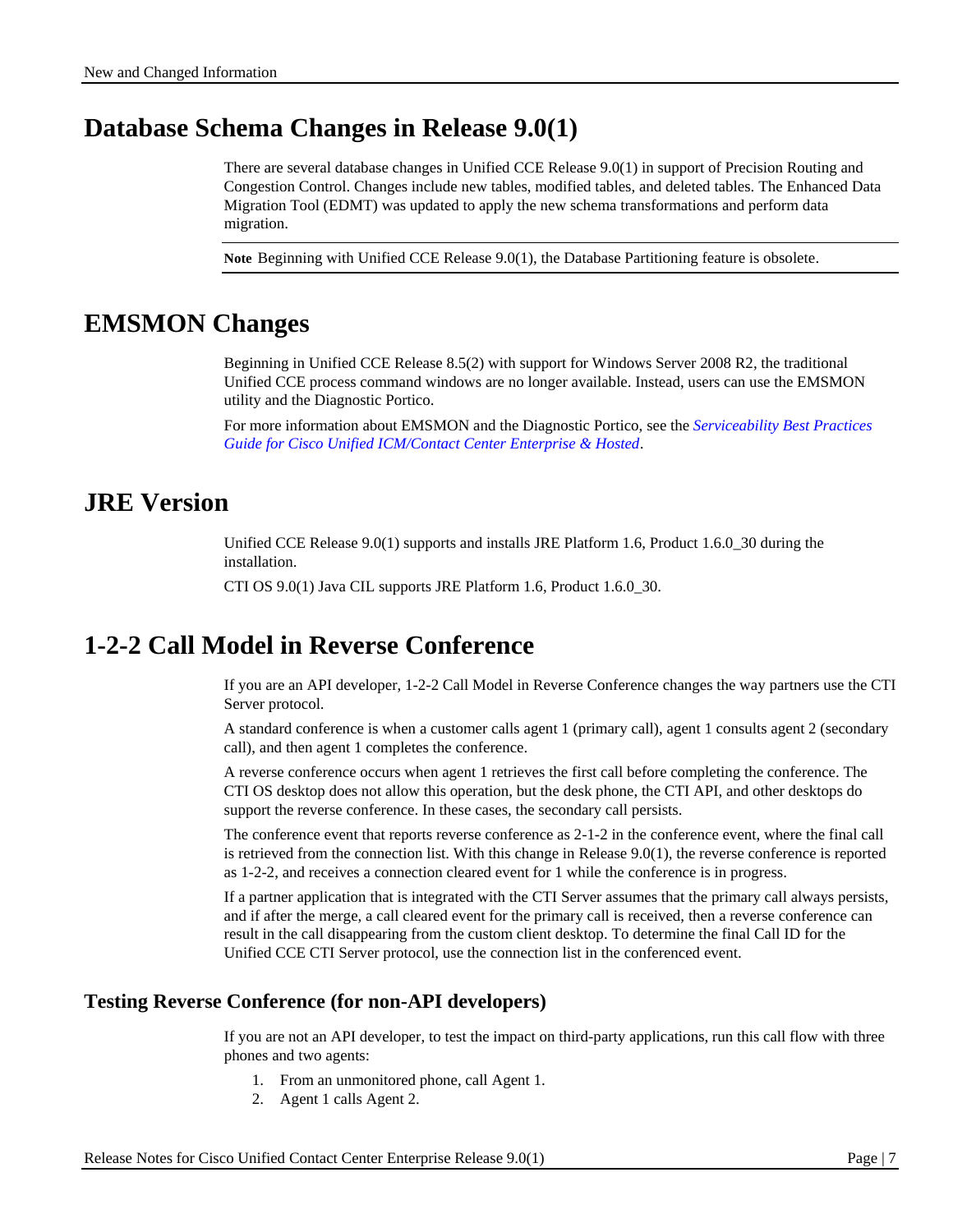### <span id="page-6-0"></span>**Database Schema Changes in Release 9.0(1)**

There are several database changes in Unified CCE Release 9.0(1) in support of Precision Routing and Congestion Control. Changes include new tables, modified tables, and deleted tables. The Enhanced Data Migration Tool (EDMT) was updated to apply the new schema transformations and perform data migration.

**Note** Beginning with Unified CCE Release 9.0(1), the Database Partitioning feature is obsolete.

# <span id="page-6-1"></span>**EMSMON Changes**

Beginning in Unified CCE Release 8.5(2) with support for Windows Server 2008 R2, the traditional Unified CCE process command windows are no longer available. Instead, users can use the EMSMON utility and the Diagnostic Portico.

For more information about EMSMON and the Diagnostic Portico, see the *[Serviceability Best Practices](http://www.cisco.com/en/US/products/sw/custcosw/ps1844/prod_installation_guides_list.html)  [Guide for Cisco Unified ICM/Contact Center Enterprise & Hosted](http://www.cisco.com/en/US/products/sw/custcosw/ps1844/prod_installation_guides_list.html)*.

### <span id="page-6-2"></span>**JRE Version**

Unified CCE Release 9.0(1) supports and installs JRE Platform 1.6, Product 1.6.0\_30 during the installation.

CTI OS 9.0(1) Java CIL supports JRE Platform 1.6, Product 1.6.0\_30.

# <span id="page-6-3"></span>**1-2-2 Call Model in Reverse Conference**

If you are an API developer, 1-2-2 Call Model in Reverse Conference changes the way partners use the CTI Server protocol.

A standard conference is when a customer calls agent 1 (primary call), agent 1 consults agent 2 (secondary call), and then agent 1 completes the conference.

A reverse conference occurs when agent 1 retrieves the first call before completing the conference. The CTI OS desktop does not allow this operation, but the desk phone, the CTI API, and other desktops do support the reverse conference. In these cases, the secondary call persists.

The conference event that reports reverse conference as 2-1-2 in the conference event, where the final call is retrieved from the connection list. With this change in Release 9.0(1), the reverse conference is reported as 1-2-2, and receives a connection cleared event for 1 while the conference is in progress.

If a partner application that is integrated with the CTI Server assumes that the primary call always persists, and if after the merge, a call cleared event for the primary call is received, then a reverse conference can result in the call disappearing from the custom client desktop. To determine the final Call ID for the Unified CCE CTI Server protocol, use the connection list in the conferenced event.

#### **Testing Reverse Conference (for non-API developers)**

If you are not an API developer, to test the impact on third-party applications, run this call flow with three phones and two agents:

- 1. From an unmonitored phone, call Agent 1.
- 2. Agent 1 calls Agent 2.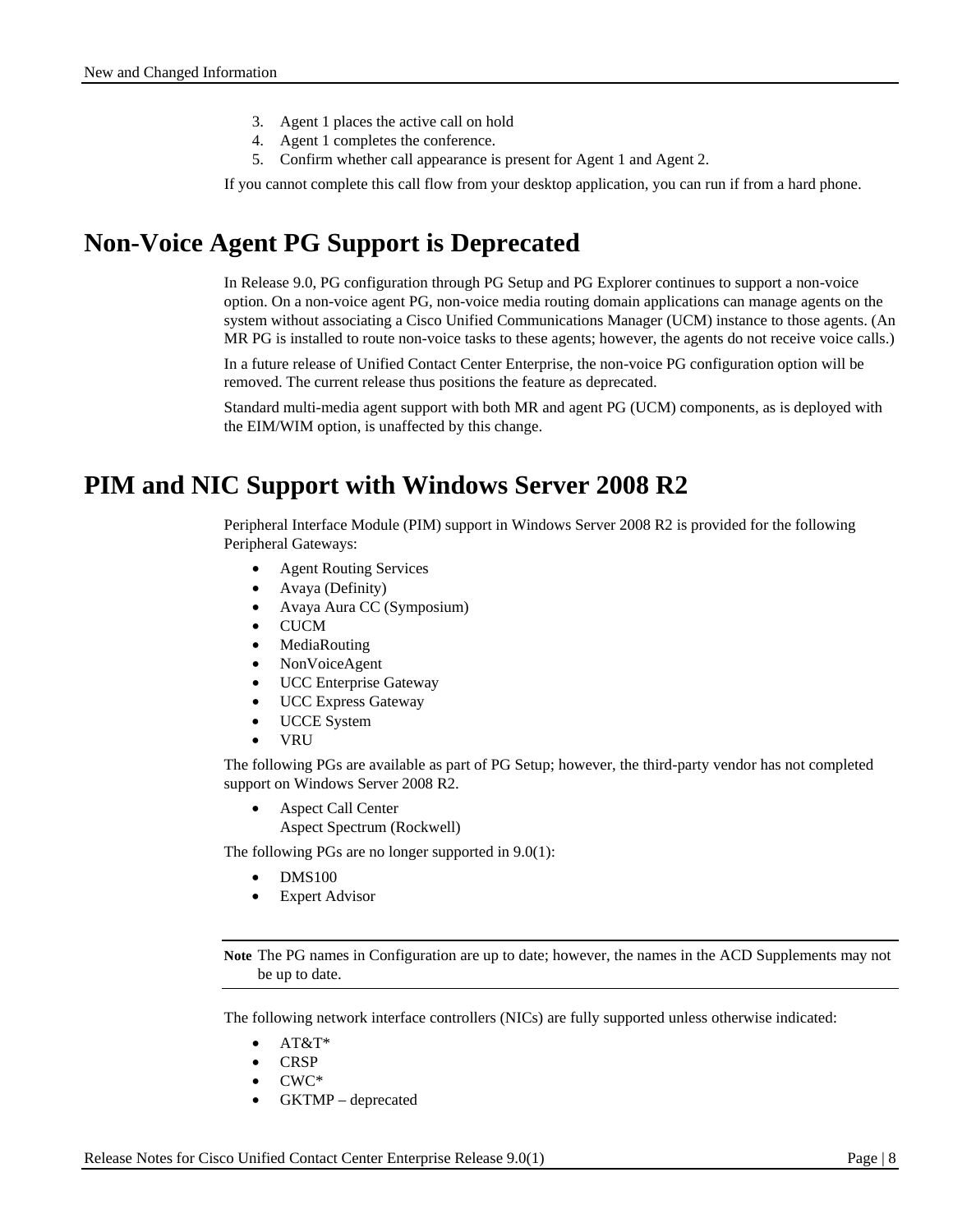- 3. Agent 1 places the active call on hold
- 4. Agent 1 completes the conference.
- 5. Confirm whether call appearance is present for Agent 1 and Agent 2.

If you cannot complete this call flow from your desktop application, you can run if from a hard phone.

### <span id="page-7-0"></span>**Non-Voice Agent PG Support is Deprecated**

In Release 9.0, PG configuration through PG Setup and PG Explorer continues to support a non-voice option. On a non-voice agent PG, non-voice media routing domain applications can manage agents on the system without associating a Cisco Unified Communications Manager (UCM) instance to those agents. (An MR PG is installed to route non-voice tasks to these agents; however, the agents do not receive voice calls.)

In a future release of Unified Contact Center Enterprise, the non-voice PG configuration option will be removed. The current release thus positions the feature as deprecated.

Standard multi-media agent support with both MR and agent PG (UCM) components, as is deployed with the EIM/WIM option, is unaffected by this change.

# <span id="page-7-1"></span>**PIM and NIC Support with Windows Server 2008 R2**

Peripheral Interface Module (PIM) support in Windows Server 2008 R2 is provided for the following Peripheral Gateways:

- Agent Routing Services
- Avaya (Definity)
- Avaya Aura CC (Symposium)
- CUCM
- **MediaRouting**
- NonVoiceAgent
- UCC Enterprise Gateway
- UCC Express Gateway
- UCCE System
- VRU

The following PGs are available as part of PG Setup; however, the third-party vendor has not completed support on Windows Server 2008 R2.

• Aspect Call Center

Aspect Spectrum (Rockwell)

The following PGs are no longer supported in 9.0(1):

- DMS100
- **Expert Advisor**

**Note** The PG names in Configuration are up to date; however, the names in the ACD Supplements may not be up to date.

The following network interface controllers (NICs) are fully supported unless otherwise indicated:

- $AT&T*$
- CRSP
- CWC\*
- GKTMP deprecated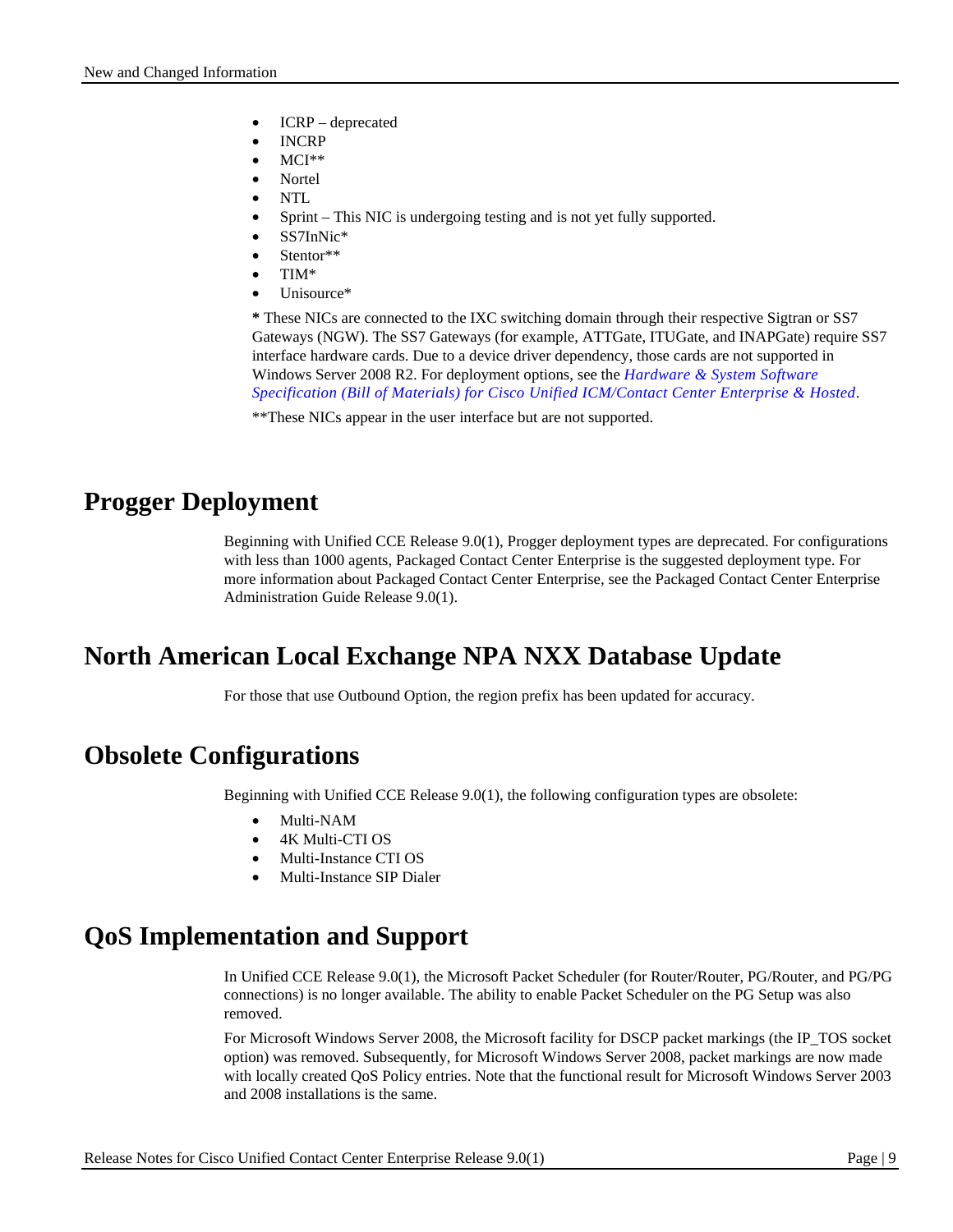- ICRP deprecated
- INCRP
- MCI\*\*
- Nortel
- NTL
- Sprint This NIC is undergoing testing and is not yet fully supported.
- SS7InNic\*
- Stentor\*\*
- TIM\*
- Unisource\*

**\*** These NICs are connected to the IXC switching domain through their respective Sigtran or SS7 Gateways (NGW). The SS7 Gateways (for example, ATTGate, ITUGate, and INAPGate) require SS7 interface hardware cards. Due to a device driver dependency, those cards are not supported in Windows Server 2008 R2. For deployment options, see the *Hardware [& System S](http://www.cisco.com/en/US/products/sw/custcosw/ps1844/prod_technical_reference_list.html)oftware Specification (Bill of Materials) for Cisco Unified ICM/Contact Center Enterprise & Hosted*.

\*\*These NICs appear in the user interface but are not supported.

# <span id="page-8-0"></span>**Progger Deployment**

Beginning with Unified CCE Release 9.0(1), Progger deployment types are deprecated. For configurations with less than 1000 agents, Packaged Contact Center Enterprise is the suggested deployment type. For more information about Packaged Contact Center Enterprise, see the Packaged Contact Center Enterprise Administration Guide Release 9.0(1).

# <span id="page-8-1"></span>**North American Local Exchange NPA NXX Database Update**

For those that use Outbound Option, the region prefix has been updated for accuracy.

# <span id="page-8-2"></span>**Obsolete Configurations**

Beginning with Unified CCE Release 9.0(1), the following configuration types are obsolete:

- Multi-NAM
- 4K Multi-CTI OS
- Multi-Instance CTI OS
- Multi-Instance SIP Dialer

# <span id="page-8-3"></span>**QoS Implementation and Support**

In Unified CCE Release 9.0(1), the Microsoft Packet Scheduler (for Router/Router, PG/Router, and PG/PG connections) is no longer available. The ability to enable Packet Scheduler on the PG Setup was also removed.

For Microsoft Windows Server 2008, the Microsoft facility for DSCP packet markings (the IP\_TOS socket option) was removed. Subsequently, for Microsoft Windows Server 2008, packet markings are now made with locally created QoS Policy entries. Note that the functional result for Microsoft Windows Server 2003 and 2008 installations is the same.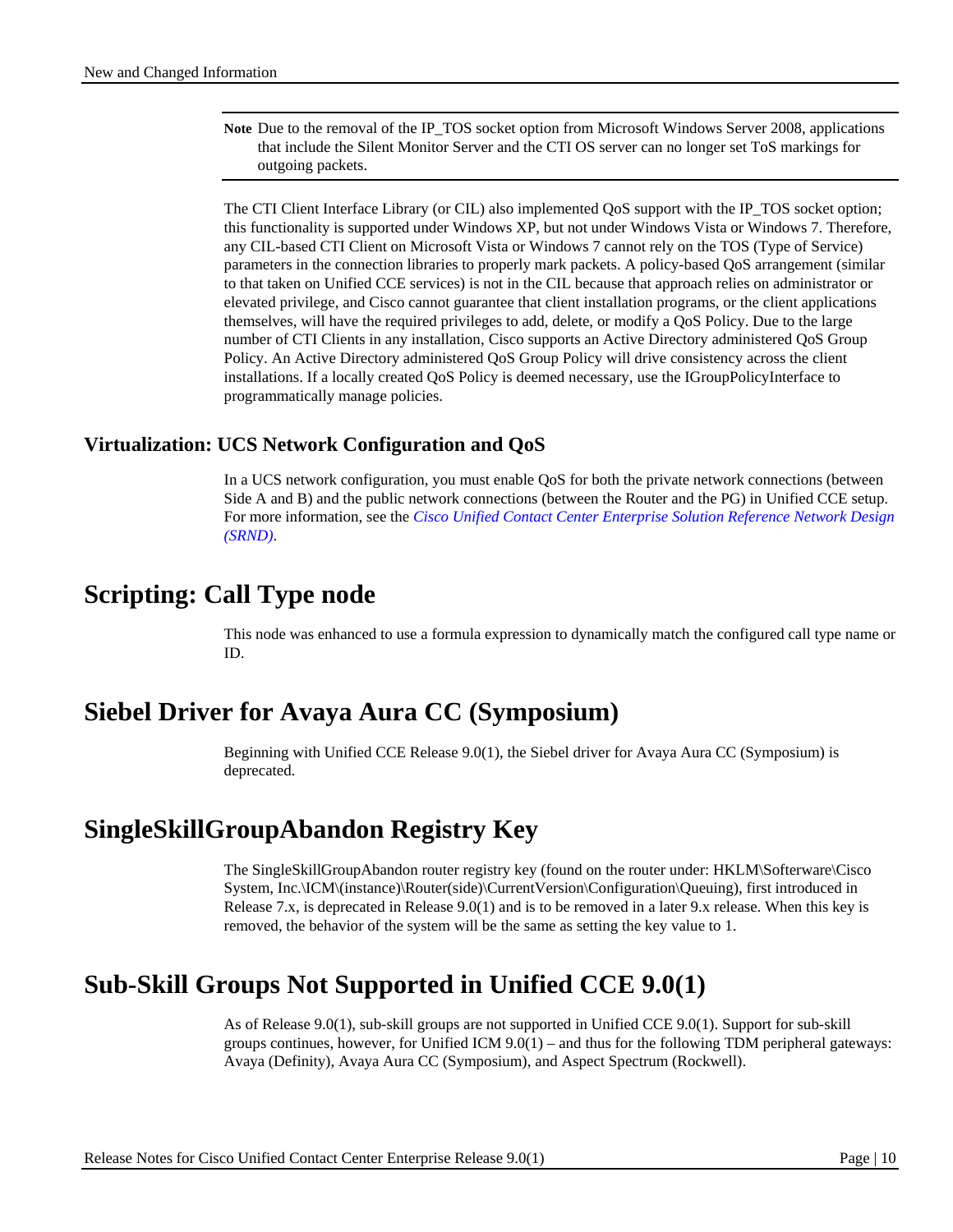**Note** Due to the removal of the IP\_TOS socket option from Microsoft Windows Server 2008, applications that include the Silent Monitor Server and the CTI OS server can no longer set ToS markings for outgoing packets.

The CTI Client Interface Library (or CIL) also implemented QoS support with the IP\_TOS socket option; this functionality is supported under Windows XP, but not under Windows Vista or Windows 7. Therefore, any CIL-based CTI Client on Microsoft Vista or Windows 7 cannot rely on the TOS (Type of Service) parameters in the connection libraries to properly mark packets. A policy-based QoS arrangement (similar to that taken on Unified CCE services) is not in the CIL because that approach relies on administrator or elevated privilege, and Cisco cannot guarantee that client installation programs, or the client applications themselves, will have the required privileges to add, delete, or modify a QoS Policy. Due to the large number of CTI Clients in any installation, Cisco supports an Active Directory administered QoS Group Policy. An Active Directory administered QoS Group Policy will drive consistency across the client installations. If a locally created QoS Policy is deemed necessary, use the IGroupPolicyInterface to programmatically manage policies.

### **Virtualization: UCS Network Configuration and QoS**

In a UCS network configuration, you must enable QoS for both the private network connections (between Side A and B) and the public network connections (between the Router and the PG) in Unified CCE setup. For more information, see the *[Cisco Unified Contact Center Enterprise Solution Reference Network Design](http://www.cisco.com/en/US/partner/products/sw/custcosw/ps1844/products_implementation_design_guides_list.html)  [\(SRND\)](http://www.cisco.com/en/US/partner/products/sw/custcosw/ps1844/products_implementation_design_guides_list.html)*.

# <span id="page-9-0"></span>**Scripting: Call Type node**

This node was enhanced to use a formula expression to dynamically match the configured call type name or ID.

# <span id="page-9-1"></span>**Siebel Driver for Avaya Aura CC (Symposium)**

Beginning with Unified CCE Release 9.0(1), the Siebel driver for Avaya Aura CC (Symposium) is deprecated.

# <span id="page-9-2"></span>**SingleSkillGroupAbandon Registry Key**

The SingleSkillGroupAbandon router registry key (found on the router under: HKLM\Softerware\Cisco System, Inc.\ICM\(instance)\Router(side)\CurrentVersion\Configuration\Queuing), first introduced in Release 7.x, is deprecated in Release 9.0(1) and is to be removed in a later 9.x release. When this key is removed, the behavior of the system will be the same as setting the key value to 1.

# <span id="page-9-3"></span>**Sub-Skill Groups Not Supported in Unified CCE 9.0(1)**

As of Release 9.0(1), sub-skill groups are not supported in Unified CCE 9.0(1). Support for sub-skill groups continues, however, for Unified ICM  $9.0(1)$  – and thus for the following TDM peripheral gateways: Avaya (Definity), Avaya Aura CC (Symposium), and Aspect Spectrum (Rockwell).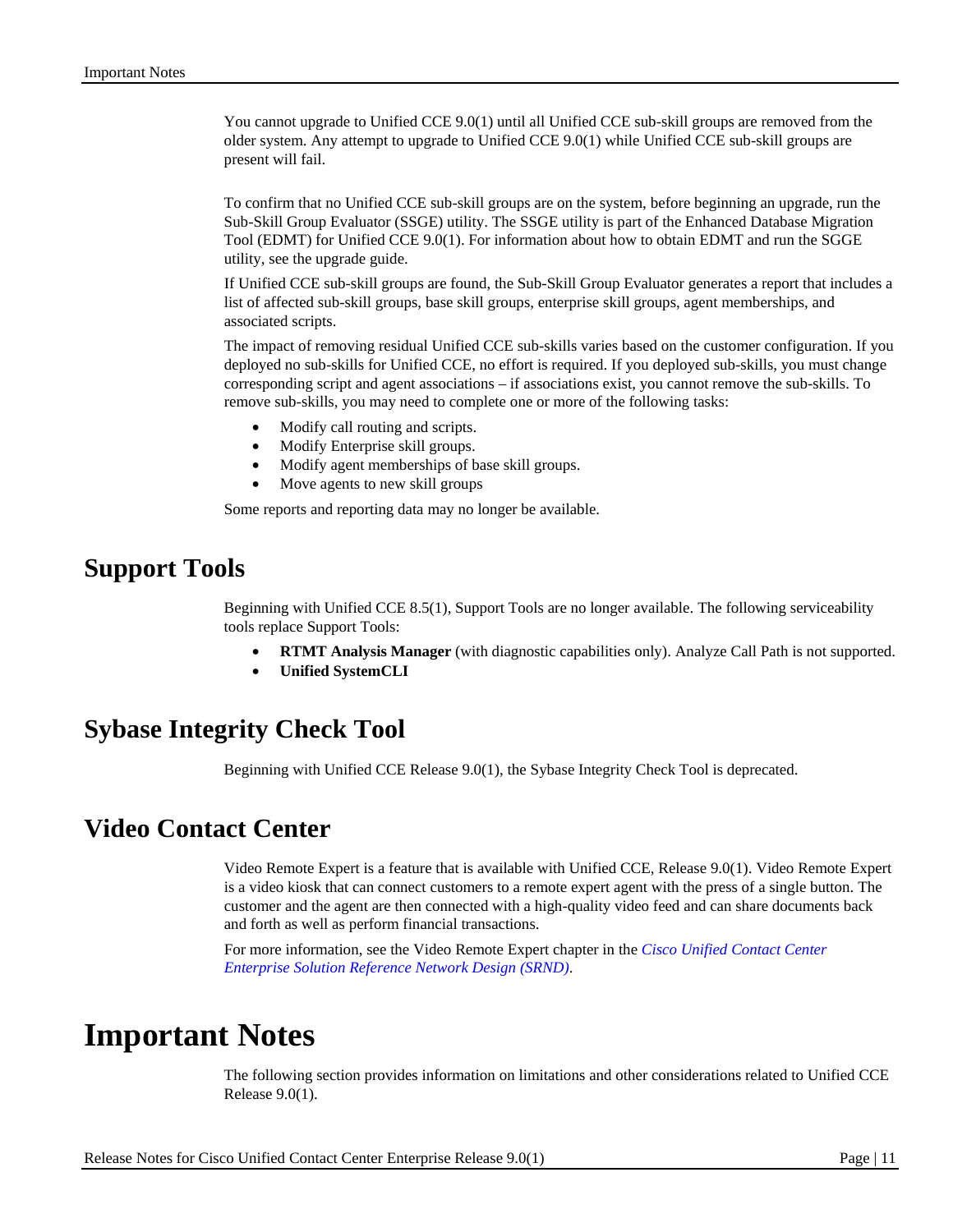You cannot upgrade to Unified CCE 9.0(1) until all Unified CCE sub-skill groups are removed from the older system. Any attempt to upgrade to Unified CCE 9.0(1) while Unified CCE sub-skill groups are present will fail.

To confirm that no Unified CCE sub-skill groups are on the system, before beginning an upgrade, run the Sub-Skill Group Evaluator (SSGE) utility. The SSGE utility is part of the Enhanced Database Migration Tool (EDMT) for Unified CCE 9.0(1). For information about how to obtain EDMT and run the SGGE utility, see the upgrade guide.

If Unified CCE sub-skill groups are found, the Sub-Skill Group Evaluator generates a report that includes a list of affected sub-skill groups, base skill groups, enterprise skill groups, agent memberships, and associated scripts.

The impact of removing residual Unified CCE sub-skills varies based on the customer configuration. If you deployed no sub-skills for Unified CCE, no effort is required. If you deployed sub-skills, you must change corresponding script and agent associations – if associations exist, you cannot remove the sub-skills. To remove sub-skills, you may need to complete one or more of the following tasks:

- Modify call routing and scripts.
- Modify Enterprise skill groups.
- Modify agent memberships of base skill groups.
- Move agents to new skill groups

Some reports and reporting data may no longer be available.

### <span id="page-10-0"></span>**Support Tools**

Beginning with Unified CCE 8.5(1), Support Tools are no longer available. The following serviceability tools replace Support Tools:

- **RTMT Analysis Manager** (with diagnostic capabilities only). Analyze Call Path is not supported.
- **Unified SystemCLI**

### <span id="page-10-1"></span>**Sybase Integrity Check Tool**

Beginning with Unified CCE Release 9.0(1), the Sybase Integrity Check Tool is deprecated.

### <span id="page-10-2"></span>**Video Contact Center**

Video Remote Expert is a feature that is available with Unified CCE, Release 9.0(1). Video Remote Expert is a video kiosk that can connect customers to a remote expert agent with the press of a single button. The customer and the agent are then connected with a high-quality video feed and can share documents back and forth as well as perform financial transactions.

For more information, see the Video Remote Expert chapter in the *[Cisco Unified Contact Center](http://www.cisco.com/en/US/docs/voice_ip_comm/cust_contact/contact_center/ipcc_enterprise/ipccenterprise8_5_1/design/guide/uccesrnd85.pdf)  [Enterprise Solution Reference Network Design \(SRND\)](http://www.cisco.com/en/US/docs/voice_ip_comm/cust_contact/contact_center/ipcc_enterprise/ipccenterprise8_5_1/design/guide/uccesrnd85.pdf)*.

# <span id="page-10-3"></span>**Important Notes**

The following section provides information on limitations and other considerations related to Unified CCE Release 9.0(1).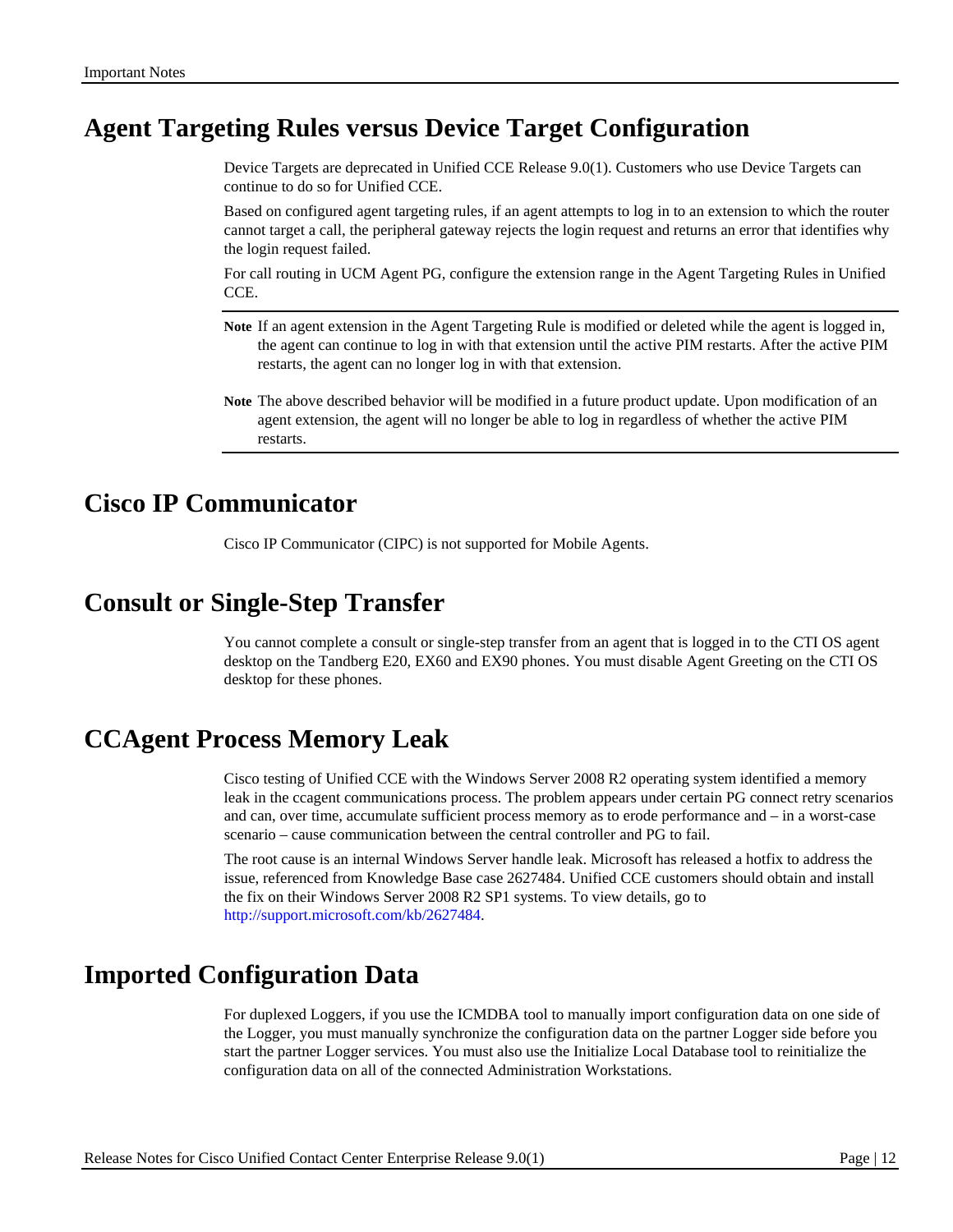# <span id="page-11-0"></span>**Agent Targeting Rules versus Device Target Configuration**

Device Targets are deprecated in Unified CCE Release 9.0(1). Customers who use Device Targets can continue to do so for Unified CCE.

Based on configured agent targeting rules, if an agent attempts to log in to an extension to which the router cannot target a call, the peripheral gateway rejects the login request and returns an error that identifies why the login request failed.

For call routing in UCM Agent PG, configure the extension range in the Agent Targeting Rules in Unified CCE.

- **Note** If an agent extension in the Agent Targeting Rule is modified or deleted while the agent is logged in, the agent can continue to log in with that extension until the active PIM restarts. After the active PIM restarts, the agent can no longer log in with that extension.
- **Note** The above described behavior will be modified in a future product update. Upon modification of an agent extension, the agent will no longer be able to log in regardless of whether the active PIM restarts.

# <span id="page-11-1"></span>**Cisco IP Communicator**

Cisco IP Communicator (CIPC) is not supported for Mobile Agents.

### <span id="page-11-2"></span>**Consult or Single-Step Transfer**

You cannot complete a consult or single-step transfer from an agent that is logged in to the CTI OS agent desktop on the Tandberg E20, EX60 and EX90 phones. You must disable Agent Greeting on the CTI OS desktop for these phones.

### <span id="page-11-3"></span>**CCAgent Process Memory Leak**

Cisco testing of Unified CCE with the Windows Server 2008 R2 operating system identified a memory leak in the ccagent communications process. The problem appears under certain PG connect retry scenarios and can, over time, accumulate sufficient process memory as to erode performance and – in a worst-case scenario – cause communication between the central controller and PG to fail.

The root cause is an internal Windows Server handle leak. Microsoft has released a hotfix to address the issue, referenced from Knowledge Base case 2627484. Unified CCE customers should obtain and install the fix on their Windows Server 2008 R2 SP1 systems. To view details, go to [http://support.microsoft.com/kb/2627484.](http://support.microsoft.com/kb/2627484)

# <span id="page-11-4"></span>**Imported Configuration Data**

For duplexed Loggers, if you use the ICMDBA tool to manually import configuration data on one side of the Logger, you must manually synchronize the configuration data on the partner Logger side before you start the partner Logger services. You must also use the Initialize Local Database tool to reinitialize the configuration data on all of the connected Administration Workstations.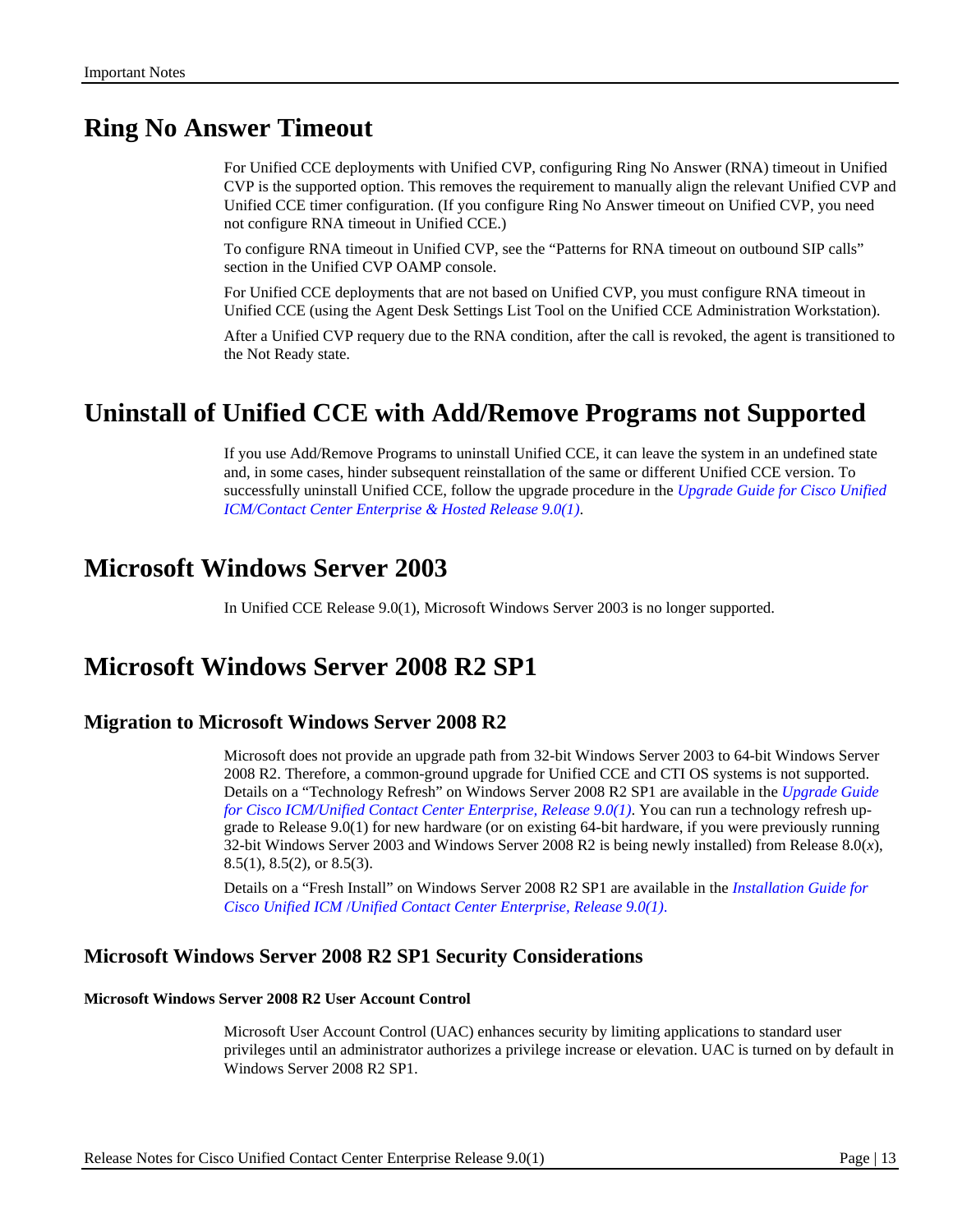# <span id="page-12-0"></span>**Ring No Answer Timeout**

For Unified CCE deployments with Unified CVP, configuring Ring No Answer (RNA) timeout in Unified CVP is the supported option. This removes the requirement to manually align the relevant Unified CVP and Unified CCE timer configuration. (If you configure Ring No Answer timeout on Unified CVP, you need not configure RNA timeout in Unified CCE.)

To configure RNA timeout in Unified CVP, see the "Patterns for RNA timeout on outbound SIP calls" section in the Unified CVP OAMP console.

For Unified CCE deployments that are not based on Unified CVP, you must configure RNA timeout in Unified CCE (using the Agent Desk Settings List Tool on the Unified CCE Administration Workstation).

After a Unified CVP requery due to the RNA condition, after the call is revoked, the agent is transitioned to the Not Ready state.

# <span id="page-12-1"></span>**Uninstall of Unified CCE with Add/Remove Programs not Supported**

If you use Add/Remove Programs to uninstall Unified CCE, it can leave the system in an undefined state and, in some cases, hinder subsequent reinstallation of the same or different Unified CCE version. To successfully uninstall Unified CCE, follow the upgrade procedure in the *[Upgrade Guide for Cisco Unified](http://www.cisco.com/en/US/products/sw/custcosw/ps1844/prod_installation_guides_list.html)  [ICM/Contact Center Enterprise & Hosted Release 9.0\(1\)](http://www.cisco.com/en/US/products/sw/custcosw/ps1844/prod_installation_guides_list.html)*.

# <span id="page-12-2"></span>**Microsoft Windows Server 2003**

In Unified CCE Release 9.0(1), Microsoft Windows Server 2003 is no longer supported.

# <span id="page-12-3"></span>**Microsoft Windows Server 2008 R2 SP1**

### **Migration to Microsoft Windows Server 2008 R2**

Microsoft does not provide an upgrade path from 32-bit Windows Server 2003 to 64-bit Windows Server 2008 R2. Therefore, a common-ground upgrade for Unified CCE and CTI OS systems is not supported. Details on a "Technology Refresh" on Windows Server 2008 R2 SP1 are available in the *[Upgrade Guide](http://www.cisco.com/en/US/products/sw/custcosw/ps1844/prod_installation_guides_list.html)  [for Cisco ICM/Unified Contact Center Enterprise, Release 9.0\(1\)](http://www.cisco.com/en/US/products/sw/custcosw/ps1844/prod_installation_guides_list.html)*. You can run a technology refresh upgrade to Release 9.0(1) for new hardware (or on existing 64-bit hardware, if you were previously running 32-bit Windows Server 2003 and Windows Server 2008 R2 is being newly installed) from Release 8.0(*x*), 8.5(1), 8.5(2), or 8.5(3).

Details on a "Fresh Install" on Windows Server 2008 R2 SP1 are available in the *[Installation Guide for](http://www.cisco.com/en/US/products/sw/custcosw/ps1844/prod_installation_guides_list.html)  Cisco Unified ICM* /*[Unified Contact Center Enterprise, Release 9.0\(1\)](http://www.cisco.com/en/US/products/sw/custcosw/ps1844/prod_installation_guides_list.html)*.

### **Microsoft Windows Server 2008 R2 SP1 Security Considerations**

#### **Microsoft Windows Server 2008 R2 User Account Control**

Microsoft User Account Control (UAC) enhances security by limiting applications to standard user privileges until an administrator authorizes a privilege increase or elevation. UAC is turned on by default in Windows Server 2008 R2 SP1.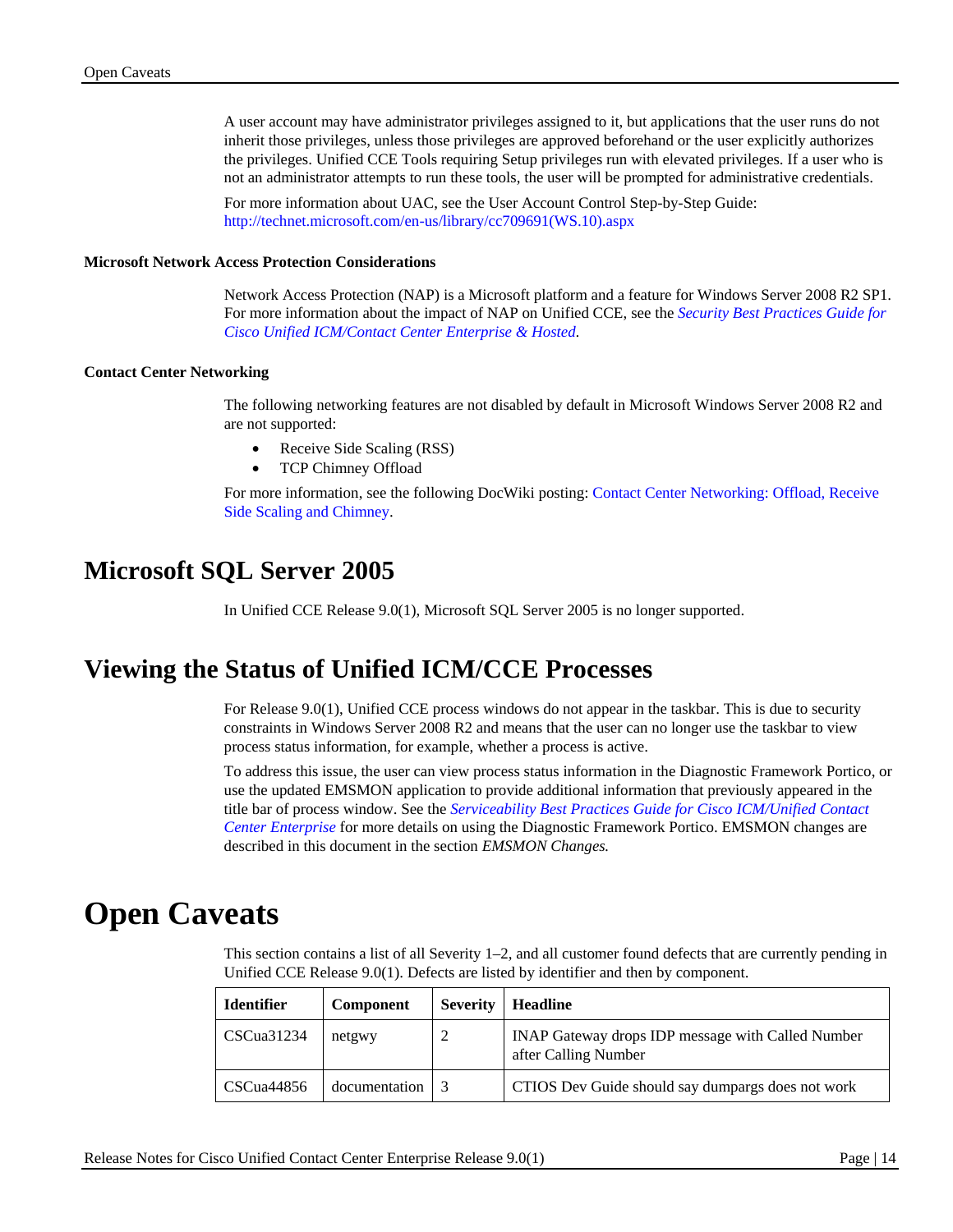A user account may have administrator privileges assigned to it, but applications that the user runs do not inherit those privileges, unless those privileges are approved beforehand or the user explicitly authorizes the privileges. Unified CCE Tools requiring Setup privileges run with elevated privileges. If a user who is not an administrator attempts to run these tools, the user will be prompted for administrative credentials.

For more information about UAC, see the User Account Control Step-by-Step Guide: [http://technet.microsoft.com/en-us/library/cc709691\(WS.10\).aspx](http://technet.microsoft.com/en-us/library/cc709691(WS.10).aspx)

#### **Microsoft Network Access Protection Considerations**

Network Access Protection (NAP) is a Microsoft platform and a feature for Windows Server 2008 R2 SP1. For more information about the impact of NAP on Unified CCE, see the *[Security Best Practices Guide for](http://tools.cisco.com/search/JSP/search-results.get?isFormSubmit=true&strqueryid=&country=US&language=en&websessionid=&strCurrentSimilarSearchBreadCrumb=&strCurrentSelectedModifierValues=&strQueryText=security+best+practices+8%2E5%282%29)  [Cisco Unified ICM/Contact Center Enterprise & Hosted.](http://tools.cisco.com/search/JSP/search-results.get?isFormSubmit=true&strqueryid=&country=US&language=en&websessionid=&strCurrentSimilarSearchBreadCrumb=&strCurrentSelectedModifierValues=&strQueryText=security+best+practices+8%2E5%282%29)*

#### **Contact Center Networking**

The following networking features are not disabled by default in Microsoft Windows Server 2008 R2 and are not supported:

- Receive Side Scaling (RSS)
- TCP Chimney Offload

For more information, see the following DocWiki posting: [Contact Center Networking: Offload, Receive](http://docwiki.cisco.com/wiki/Contact_Center_Networking:_Offload,_Receive_Side_Scaling_and_Chimney)  [Side Scaling and Chimney.](http://docwiki.cisco.com/wiki/Contact_Center_Networking:_Offload,_Receive_Side_Scaling_and_Chimney)

# <span id="page-13-0"></span>**Microsoft SQL Server 2005**

In Unified CCE Release 9.0(1), Microsoft SQL Server 2005 is no longer supported.

# <span id="page-13-1"></span>**Viewing the Status of Unified ICM/CCE Processes**

For Release 9.0(1), Unified CCE process windows do not appear in the taskbar. This is due to security constraints in Windows Server 2008 R2 and means that the user can no longer use the taskbar to view process status information, for example, whether a process is active.

To address this issue, the user can view process status information in the Diagnostic Framework Portico, or use the updated EMSMON application to provide additional information that previously appeared in the title bar of process window. See the *[Serviceability Best Practices Guide for Cisco ICM/Unified Contact](http://www.cisco.com/en/US/products/sw/custcosw/ps1844/products_installation_and_configuration_guides_list.html)  [Center Enterprise](http://www.cisco.com/en/US/products/sw/custcosw/ps1844/products_installation_and_configuration_guides_list.html)* for more details on using the Diagnostic Framework Portico. EMSMON changes are described in this document in the section *[EMSMON Changes.](#page-6-1)*

# <span id="page-13-2"></span>**Open Caveats**

This section contains a list of all Severity 1–2, and all customer found defects that are currently pending in Unified CCE Release 9.0(1). Defects are listed by identifier and then by component.

| <b>Identifier</b> | <b>Component</b> | <b>Severity</b> | <b>Headline</b>                                                           |
|-------------------|------------------|-----------------|---------------------------------------------------------------------------|
| CSCua31234        | netgwy           |                 | INAP Gateway drops IDP message with Called Number<br>after Calling Number |
| CSCua44856        | documentation    |                 | CTIOS Dev Guide should say dumpargs does not work                         |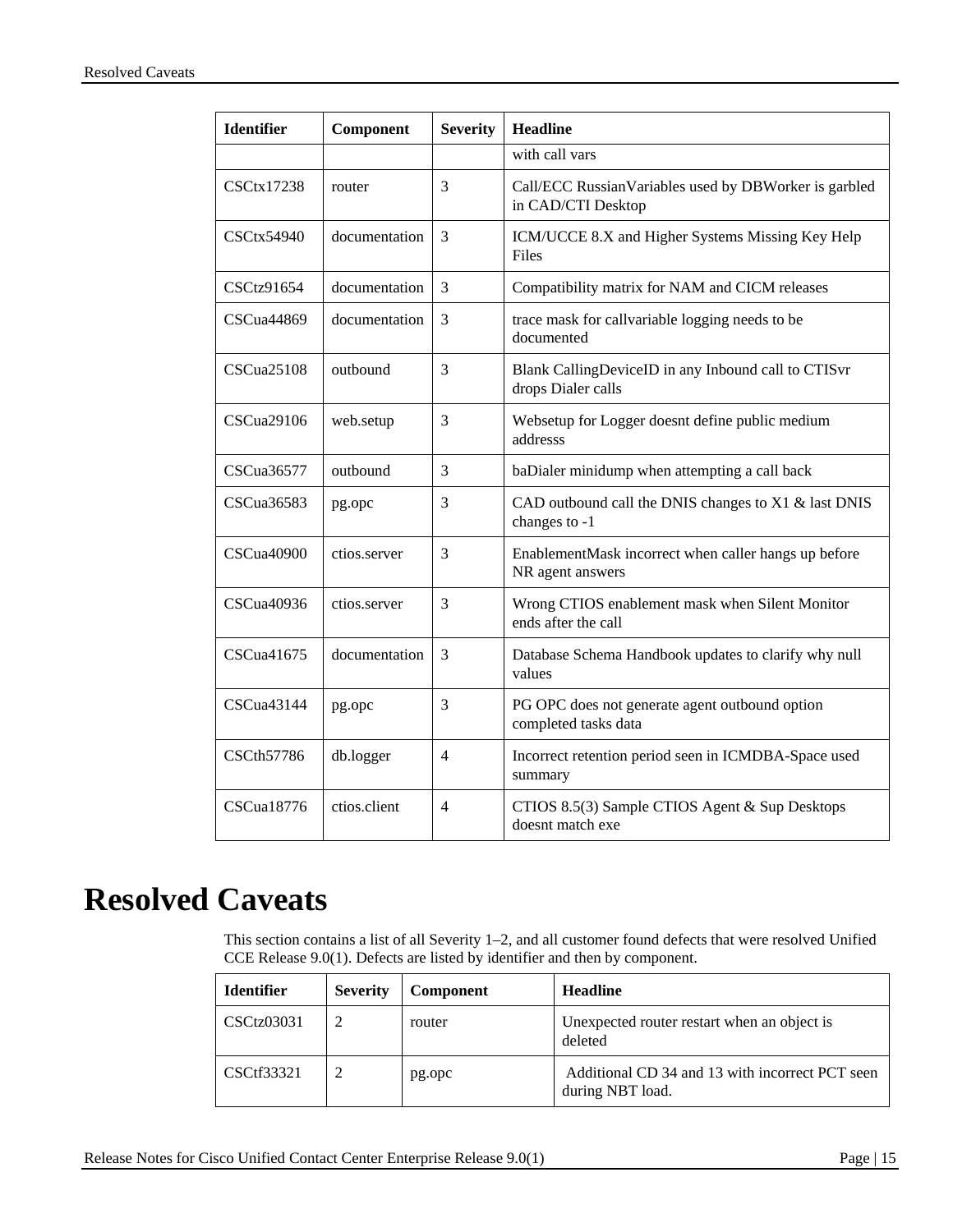| <b>Identifier</b>   | Component     | <b>Severity</b> | <b>Headline</b>                                                             |  |
|---------------------|---------------|-----------------|-----------------------------------------------------------------------------|--|
|                     |               |                 | with call vars                                                              |  |
| CSCtx17238          | router        | 3               | Call/ECC RussianVariables used by DBWorker is garbled<br>in CAD/CTI Desktop |  |
| $\text{CSCtx54940}$ | documentation | 3               | ICM/UCCE 8.X and Higher Systems Missing Key Help<br>Files                   |  |
| CSCtz91654          | documentation | 3               | Compatibility matrix for NAM and CICM releases                              |  |
| CSCua44869          | documentation | 3               | trace mask for callvariable logging needs to be<br>documented               |  |
| CSCua25108          | outbound      | 3               | Blank CallingDeviceID in any Inbound call to CTISvr<br>drops Dialer calls   |  |
| CSCua29106          | web.setup     | 3               | Websetup for Logger doesnt define public medium<br>addresss                 |  |
| CSCua36577          | outbound      | 3               | baDialer minidump when attempting a call back                               |  |
| CSCua36583          | pg.opc        | 3               | CAD outbound call the DNIS changes to X1 & last DNIS<br>changes to -1       |  |
| CSCua40900          | ctios.server  | 3               | EnablementMask incorrect when caller hangs up before<br>NR agent answers    |  |
| CSCua40936          | ctios.server  | 3               | Wrong CTIOS enablement mask when Silent Monitor<br>ends after the call      |  |
| CSCua41675          | documentation | 3               | Database Schema Handbook updates to clarify why null<br>values              |  |
| CSCua43144          | pg.opc        | 3               | PG OPC does not generate agent outbound option<br>completed tasks data      |  |
| <b>CSCth57786</b>   | db.logger     | 4               | Incorrect retention period seen in ICMDBA-Space used<br>summary             |  |
| <b>CSCua18776</b>   | ctios.client  | 4               | CTIOS 8.5(3) Sample CTIOS Agent & Sup Desktops<br>doesnt match exe          |  |

# <span id="page-14-0"></span>**Resolved Caveats**

This section contains a list of all Severity 1–2, and all customer found defects that were resolved Unified CCE Release 9.0(1). Defects are listed by identifier and then by component.

| <b>Identifier</b> | <b>Severity</b> | <b>Component</b> | <b>Headline</b>                                                     |
|-------------------|-----------------|------------------|---------------------------------------------------------------------|
| CSCtz03031        |                 | router           | Unexpected router restart when an object is<br>deleted              |
| CSCtf33321        |                 | pg.opc           | Additional CD 34 and 13 with incorrect PCT seen<br>during NBT load. |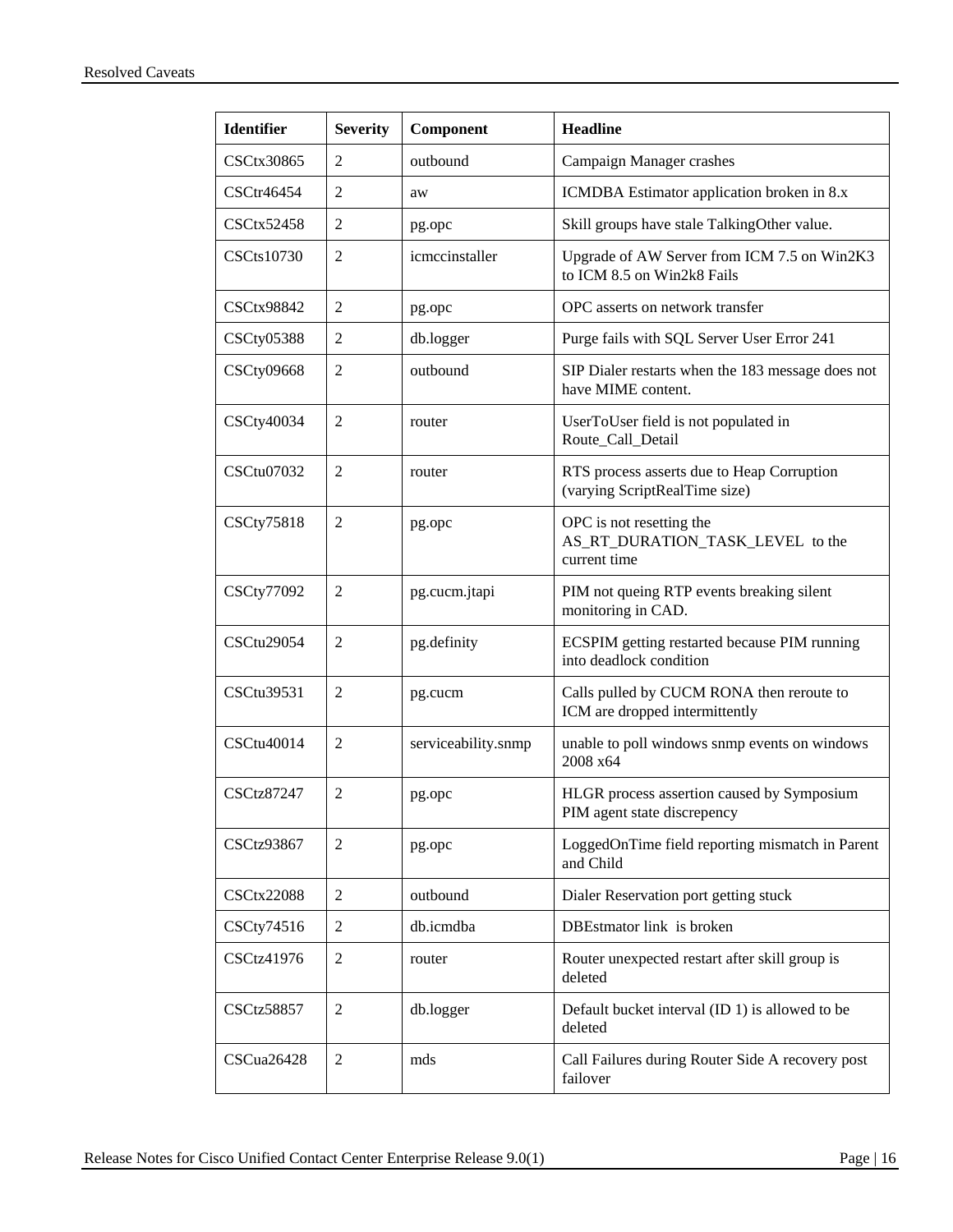| <b>Identifier</b> | <b>Severity</b> | Component           | <b>Headline</b>                                                              |
|-------------------|-----------------|---------------------|------------------------------------------------------------------------------|
| <b>CSCtx30865</b> | 2               | outbound            | Campaign Manager crashes                                                     |
| CSCtr46454        | 2               | aw                  | ICMDBA Estimator application broken in 8.x                                   |
| <b>CSCtx52458</b> | 2               | pg.opc              | Skill groups have stale TalkingOther value.                                  |
| CSCts10730        | $\overline{2}$  | icmccinstaller      | Upgrade of AW Server from ICM 7.5 on Win2K3<br>to ICM 8.5 on Win2k8 Fails    |
| <b>CSCtx98842</b> | 2               | pg.opc              | OPC asserts on network transfer                                              |
| <b>CSCty05388</b> | 2               | db.logger           | Purge fails with SQL Server User Error 241                                   |
| <b>CSCty09668</b> | 2               | outbound            | SIP Dialer restarts when the 183 message does not<br>have MIME content.      |
| CSCty40034        | 2               | router              | UserToUser field is not populated in<br>Route_Call_Detail                    |
| CSCtu07032        | $\overline{2}$  | router              | RTS process asserts due to Heap Corruption<br>(varying ScriptRealTime size)  |
| <b>CSCty75818</b> | $\overline{2}$  | pg.opc              | OPC is not resetting the<br>AS_RT_DURATION_TASK_LEVEL to the<br>current time |
| <b>CSCty77092</b> | 2               | pg.cucm.jtapi       | PIM not queing RTP events breaking silent<br>monitoring in CAD.              |
| <b>CSCtu29054</b> | $\overline{2}$  | pg.definity         | ECSPIM getting restarted because PIM running<br>into deadlock condition      |
| CSCtu39531        | $\overline{2}$  | pg.cucm             | Calls pulled by CUCM RONA then reroute to<br>ICM are dropped intermittently  |
| CSCtu40014        | 2               | serviceability.snmp | unable to poll windows snmp events on windows<br>2008 x64                    |
| <b>CSCtz87247</b> | 2               | pg.opc              | HLGR process assertion caused by Symposium<br>PIM agent state discrepency    |
| <b>CSCtz93867</b> | 2               | pg.opc              | LoggedOnTime field reporting mismatch in Parent<br>and Child                 |
| <b>CSCtx22088</b> | 2               | outbound            | Dialer Reservation port getting stuck                                        |
| CSCty74516        | 2               | db.icmdba           | DBEstmator link is broken                                                    |
| CSCtz41976        | 2               | router              | Router unexpected restart after skill group is<br>deleted                    |
| <b>CSCtz58857</b> | 2               | db.logger           | Default bucket interval (ID 1) is allowed to be<br>deleted                   |
| CSCua26428        | 2               | mds                 | Call Failures during Router Side A recovery post<br>failover                 |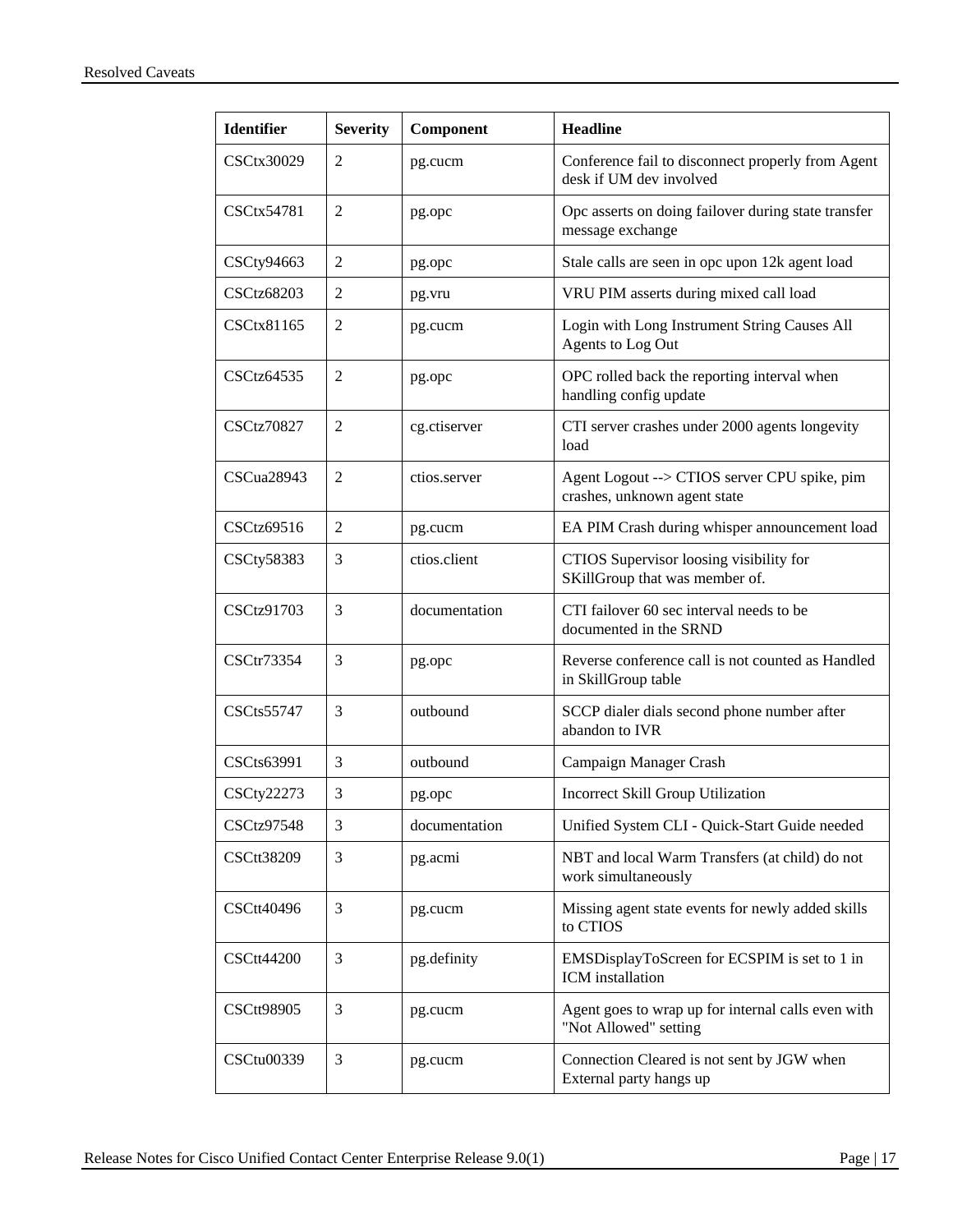| <b>Identifier</b> | <b>Severity</b> | Component     | <b>Headline</b>                                                              |
|-------------------|-----------------|---------------|------------------------------------------------------------------------------|
| CSCtx30029        | 2               | pg.cucm       | Conference fail to disconnect properly from Agent<br>desk if UM dev involved |
| CSCtx54781        | 2               | pg.opc        | Opc asserts on doing failover during state transfer<br>message exchange      |
| CSCty94663        | 2               | pg.opc        | Stale calls are seen in opc upon 12k agent load                              |
| <b>CSCtz68203</b> | 2               | pg.vru        | VRU PIM asserts during mixed call load                                       |
| CSCtx81165        | 2               | pg.cucm       | Login with Long Instrument String Causes All<br>Agents to Log Out            |
| CSCtz64535        | 2               | pg.opc        | OPC rolled back the reporting interval when<br>handling config update        |
| <b>CSCtz70827</b> | 2               | cg.ctiserver  | CTI server crashes under 2000 agents longevity<br>load                       |
| CSCua28943        | 2               | ctios.server  | Agent Logout --> CTIOS server CPU spike, pim<br>crashes, unknown agent state |
| CSCtz69516        | 2               | pg.cucm       | EA PIM Crash during whisper announcement load                                |
| <b>CSCty58383</b> | 3               | ctios.client  | CTIOS Supervisor loosing visibility for<br>SKillGroup that was member of.    |
| CSCtz91703        | 3               | documentation | CTI failover 60 sec interval needs to be<br>documented in the SRND           |
| CSCtr73354        | 3               | pg.opc        | Reverse conference call is not counted as Handled<br>in SkillGroup table     |
| <b>CSCts55747</b> | 3               | outbound      | SCCP dialer dials second phone number after<br>abandon to IVR                |
| CSCts63991        | 3               | outbound      | Campaign Manager Crash                                                       |
| <b>CSCty22273</b> | 3               | pg.opc        | Incorrect Skill Group Utilization                                            |
| <b>CSCtz97548</b> | 3               | documentation | Unified System CLI - Quick-Start Guide needed                                |
| <b>CSCtt38209</b> | 3               | pg.acmi       | NBT and local Warm Transfers (at child) do not<br>work simultaneously        |
| CSCtt40496        | 3               | pg.cucm       | Missing agent state events for newly added skills<br>to CTIOS                |
| <b>CSCtt44200</b> | 3               | pg.definity   | EMSDisplayToScreen for ECSPIM is set to 1 in<br><b>ICM</b> installation      |
| <b>CSCtt98905</b> | 3               | pg.cucm       | Agent goes to wrap up for internal calls even with<br>"Not Allowed" setting  |
| CSCtu00339        | 3               | pg.cucm       | Connection Cleared is not sent by JGW when<br>External party hangs up        |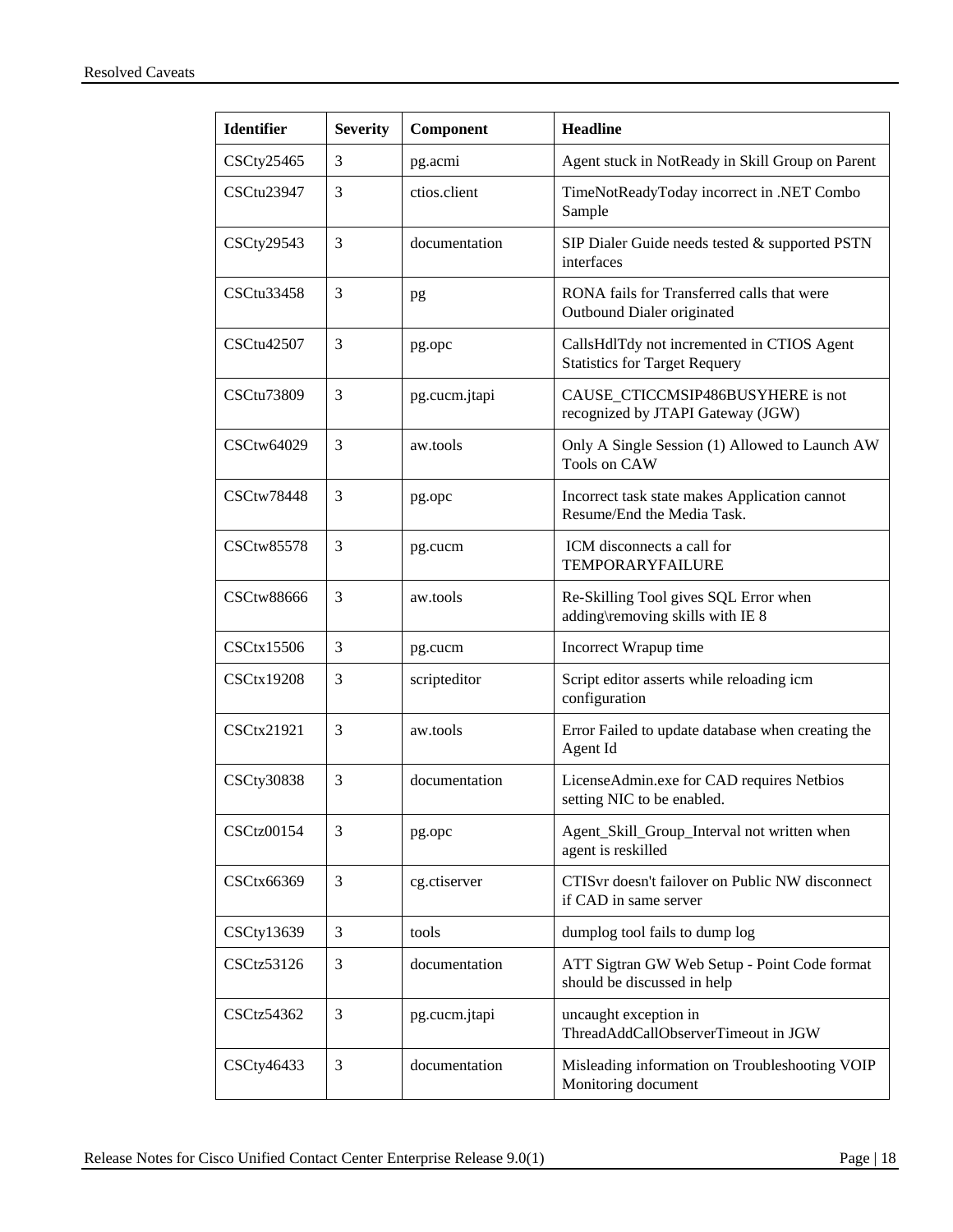| <b>Identifier</b> | <b>Severity</b> | Component     | <b>Headline</b>                                                                    |
|-------------------|-----------------|---------------|------------------------------------------------------------------------------------|
| CSCty25465        | 3               | pg.acmi       | Agent stuck in NotReady in Skill Group on Parent                                   |
| CSCtu23947        | 3               | ctios.client  | TimeNotReadyToday incorrect in .NET Combo<br>Sample                                |
| CSCty29543        | 3               | documentation | SIP Dialer Guide needs tested & supported PSTN<br>interfaces                       |
| CSCtu33458        | 3               | pg            | RONA fails for Transferred calls that were<br>Outbound Dialer originated           |
| CSCtu42507        | 3               | pg.opc        | CallsHdlTdy not incremented in CTIOS Agent<br><b>Statistics for Target Requery</b> |
| CSCtu73809        | 3               | pg.cucm.jtapi | CAUSE_CTICCMSIP486BUSYHERE is not<br>recognized by JTAPI Gateway (JGW)             |
| CSCtw64029        | 3               | aw.tools      | Only A Single Session (1) Allowed to Launch AW<br>Tools on CAW                     |
| <b>CSCtw78448</b> | 3               | pg.opc        | Incorrect task state makes Application cannot<br>Resume/End the Media Task.        |
| <b>CSCtw85578</b> | 3               | pg.cucm       | ICM disconnects a call for<br><b>TEMPORARYFAILURE</b>                              |
| <b>CSCtw88666</b> | 3               | aw.tools      | Re-Skilling Tool gives SQL Error when<br>adding\removing skills with IE 8          |
| <b>CSCtx15506</b> | 3               | pg.cucm       | Incorrect Wrapup time                                                              |
| <b>CSCtx19208</b> | 3               | scripteditor  | Script editor asserts while reloading icm<br>configuration                         |
| CSCtx21921        | 3               | aw.tools      | Error Failed to update database when creating the<br>Agent Id                      |
| <b>CSCty30838</b> | 3               | documentation | LicenseAdmin.exe for CAD requires Netbios<br>setting NIC to be enabled.            |
| <b>CSCtz00154</b> | 3               | pg.opc        | Agent_Skill_Group_Interval not written when<br>agent is reskilled                  |
| CSCtx66369        | 3               | cg.ctiserver  | CTISvr doesn't failover on Public NW disconnect<br>if CAD in same server           |
| CSCty13639        | 3               | tools         | dumplog tool fails to dump log                                                     |
| CSCtz53126        | 3               | documentation | ATT Sigtran GW Web Setup - Point Code format<br>should be discussed in help        |
| CSCtz54362        | 3               | pg.cucm.jtapi | uncaught exception in<br>ThreadAddCallObserverTimeout in JGW                       |
| CSCty46433        | 3               | documentation | Misleading information on Troubleshooting VOIP<br>Monitoring document              |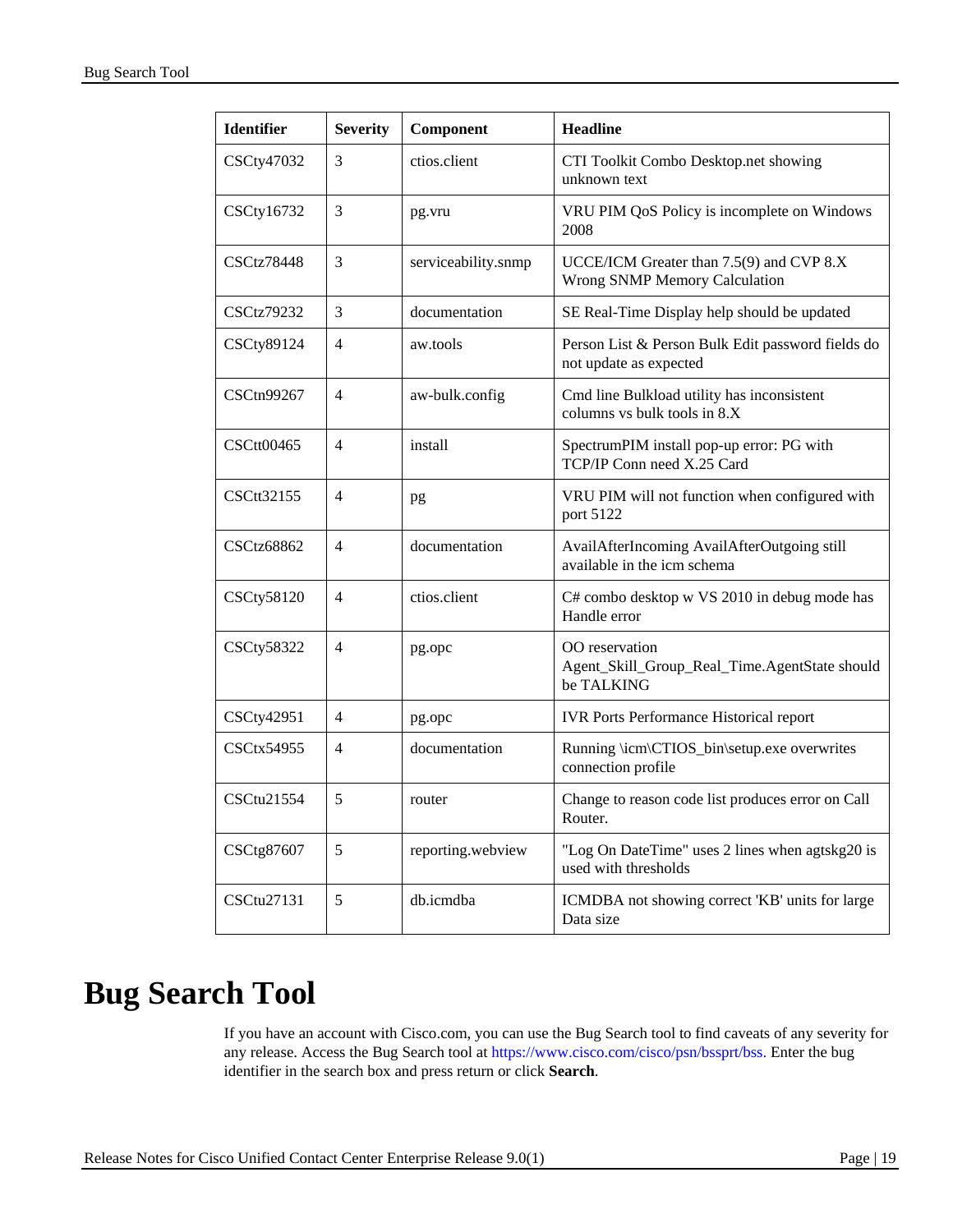| <b>Identifier</b> | <b>Severity</b> | Component           | <b>Headline</b>                                                               |
|-------------------|-----------------|---------------------|-------------------------------------------------------------------------------|
| CSCty47032        | 3               | ctios.client        | CTI Toolkit Combo Desktop.net showing<br>unknown text                         |
| CSCty16732        | 3               | pg.vru              | VRU PIM QoS Policy is incomplete on Windows<br>2008                           |
| <b>CSCtz78448</b> | 3               | serviceability.snmp | UCCE/ICM Greater than 7.5(9) and CVP 8.X<br>Wrong SNMP Memory Calculation     |
| <b>CSCtz79232</b> | 3               | documentation       | SE Real-Time Display help should be updated                                   |
| CSCty89124        | 4               | aw.tools            | Person List & Person Bulk Edit password fields do<br>not update as expected   |
| CSCtn99267        | $\overline{4}$  | aw-bulk.config      | Cmd line Bulkload utility has inconsistent<br>columns vs bulk tools in 8.X    |
| CSCtt00465        | 4               | install             | SpectrumPIM install pop-up error: PG with<br>TCP/IP Conn need X.25 Card       |
| CSCtt32155        | 4               | pg                  | VRU PIM will not function when configured with<br>port 5122                   |
| <b>CSCtz68862</b> | $\overline{4}$  | documentation       | AvailAfterIncoming AvailAfterOutgoing still<br>available in the icm schema    |
| <b>CSCty58120</b> | 4               | ctios.client        | C# combo desktop w VS 2010 in debug mode has<br>Handle error                  |
| <b>CSCty58322</b> | $\overline{4}$  | pg.opc              | OO reservation<br>Agent_Skill_Group_Real_Time.AgentState should<br>be TALKING |
| CSCty42951        | $\overline{4}$  | pg.opc              | <b>IVR</b> Ports Performance Historical report                                |
| <b>CSCtx54955</b> | 4               | documentation       | Running \icm\CTIOS_bin\setup.exe overwrites<br>connection profile             |
| CSCtu21554        | 5               | router              | Change to reason code list produces error on Call<br>Router.                  |
| CSCtg87607        | 5               | reporting.webview   | "Log On DateTime" uses 2 lines when agtskg20 is<br>used with thresholds       |
| CSCtu27131        | 5               | db.icmdba           | ICMDBA not showing correct 'KB' units for large<br>Data size                  |

# <span id="page-18-0"></span>**Bug Search Tool**

If you have an account with Cisco.com, you can use the Bug Search tool to find caveats of any severity for any release. Access the Bug Search tool at<https://www.cisco.com/cisco/psn/bssprt/bss.> Enter the bug identifier in the search box and press return or click **Search**.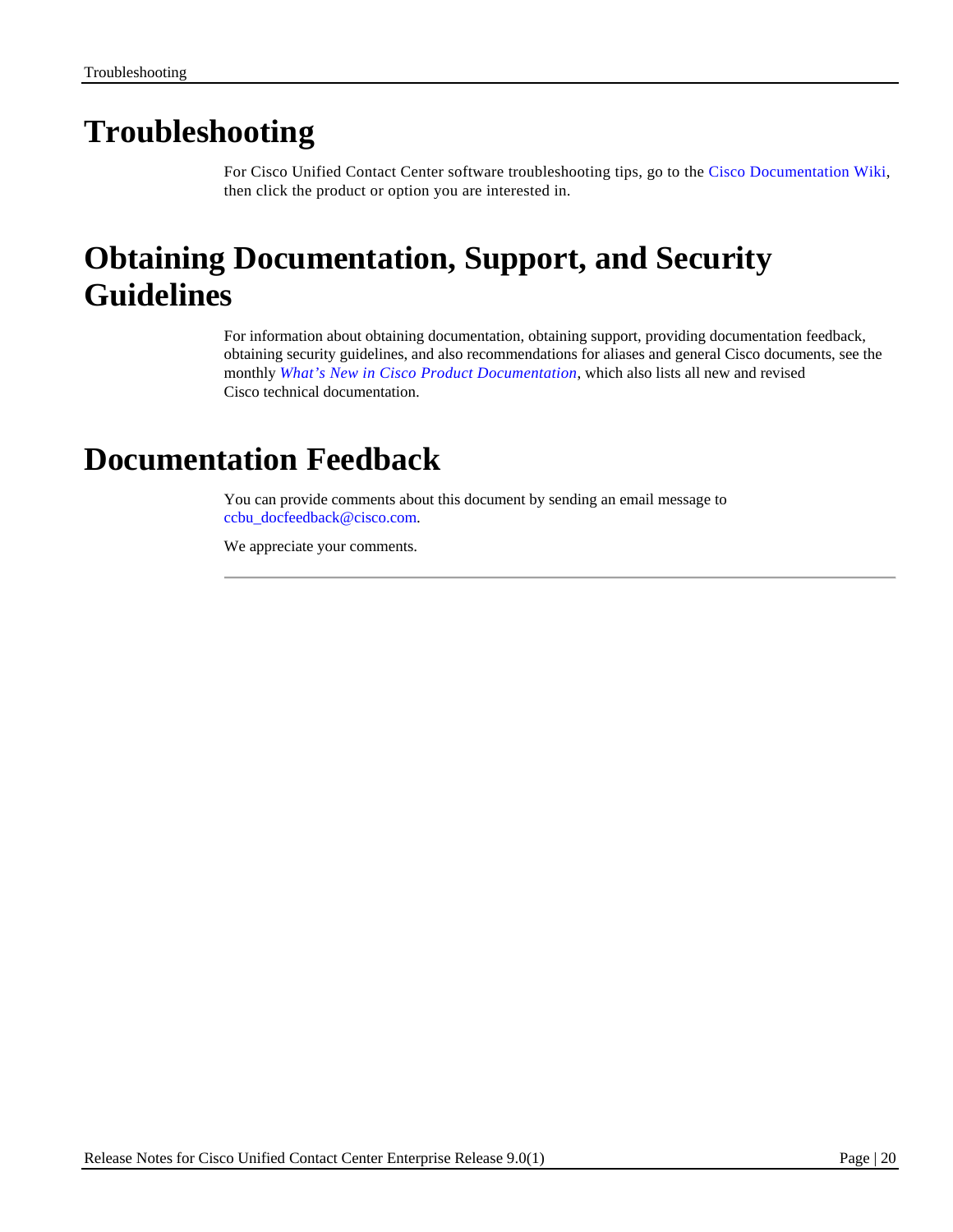# <span id="page-19-0"></span>**Troubleshooting**

For Cisco Unified Contact Center software troubleshooting tips, go to the [Cisco Documentation Wiki,](http://docwiki.cisco.com/wiki/Category:Troubleshooting) then click the product or option you are interested in.

# <span id="page-19-1"></span>**Obtaining Documentation, Support, and Security Guidelines**

For information about obtaining documentation, obtaining support, providing documentation feedback, obtaining security guidelines, and also recommendations for aliases and general Cisco documents, see the monthly *What's New in Cisco [Product Documentation](http://www.cisco.com/en/US/docs/general/whatsnew/whatsnew.html)*, which also lists all new and revised Cisco technical documentation.

# <span id="page-19-2"></span>**Documentation Feedback**

You can provide comments about this document by sending an email message to [ccbu\\_docfeedback@cisco.com.](mailto:ccbu_docfeedback@cisco.com)

We appreciate your comments.